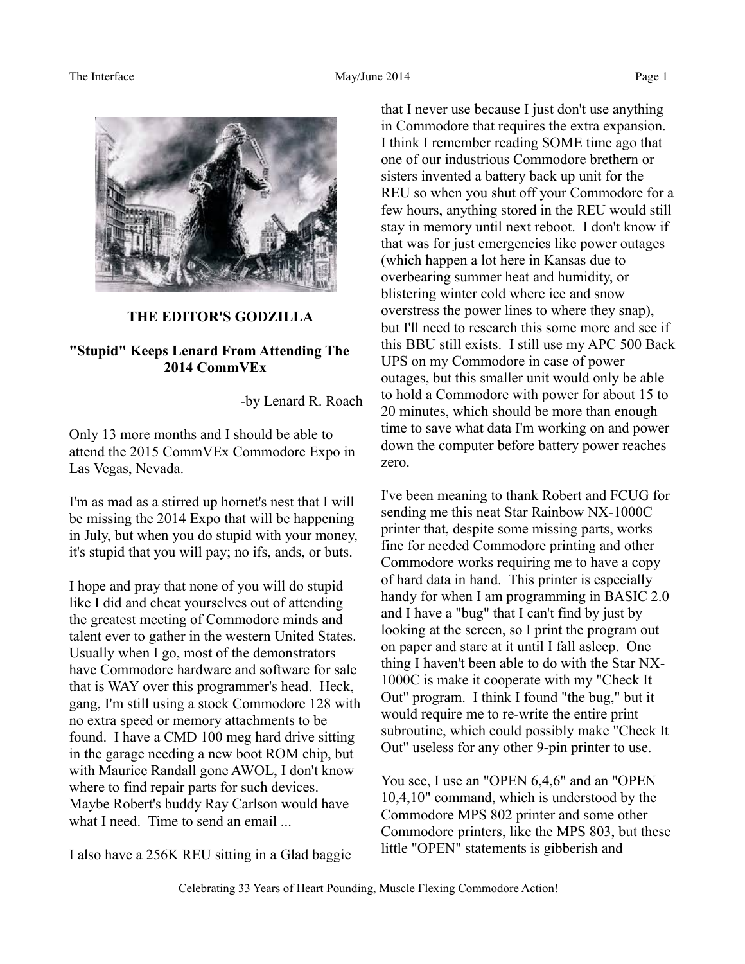

## **THE EDITOR'S GODZILLA**

# **"Stupid" Keeps Lenard From Attending The 2014 CommVEx**

-by Lenard R. Roach

Only 13 more months and I should be able to attend the 2015 CommVEx Commodore Expo in Las Vegas, Nevada.

I'm as mad as a stirred up hornet's nest that I will be missing the 2014 Expo that will be happening in July, but when you do stupid with your money, it's stupid that you will pay; no ifs, ands, or buts.

I hope and pray that none of you will do stupid like I did and cheat yourselves out of attending the greatest meeting of Commodore minds and talent ever to gather in the western United States. Usually when I go, most of the demonstrators have Commodore hardware and software for sale that is WAY over this programmer's head. Heck, gang, I'm still using a stock Commodore 128 with no extra speed or memory attachments to be found. I have a CMD 100 meg hard drive sitting in the garage needing a new boot ROM chip, but with Maurice Randall gone AWOL, I don't know where to find repair parts for such devices. Maybe Robert's buddy Ray Carlson would have what I need. Time to send an email ...

I also have a 256K REU sitting in a Glad baggie

that I never use because I just don't use anything in Commodore that requires the extra expansion. I think I remember reading SOME time ago that one of our industrious Commodore brethern or sisters invented a battery back up unit for the REU so when you shut off your Commodore for a few hours, anything stored in the REU would still stay in memory until next reboot. I don't know if that was for just emergencies like power outages (which happen a lot here in Kansas due to overbearing summer heat and humidity, or blistering winter cold where ice and snow overstress the power lines to where they snap), but I'll need to research this some more and see if this BBU still exists. I still use my APC 500 Back UPS on my Commodore in case of power outages, but this smaller unit would only be able to hold a Commodore with power for about 15 to 20 minutes, which should be more than enough time to save what data I'm working on and power down the computer before battery power reaches zero.

I've been meaning to thank Robert and FCUG for sending me this neat Star Rainbow NX-1000C printer that, despite some missing parts, works fine for needed Commodore printing and other Commodore works requiring me to have a copy of hard data in hand. This printer is especially handy for when I am programming in BASIC 2.0 and I have a "bug" that I can't find by just by looking at the screen, so I print the program out on paper and stare at it until I fall asleep. One thing I haven't been able to do with the Star NX-1000C is make it cooperate with my "Check It Out" program. I think I found "the bug," but it would require me to re-write the entire print subroutine, which could possibly make "Check It Out" useless for any other 9-pin printer to use.

You see, I use an "OPEN 6,4,6" and an "OPEN 10,4,10" command, which is understood by the Commodore MPS 802 printer and some other Commodore printers, like the MPS 803, but these little "OPEN" statements is gibberish and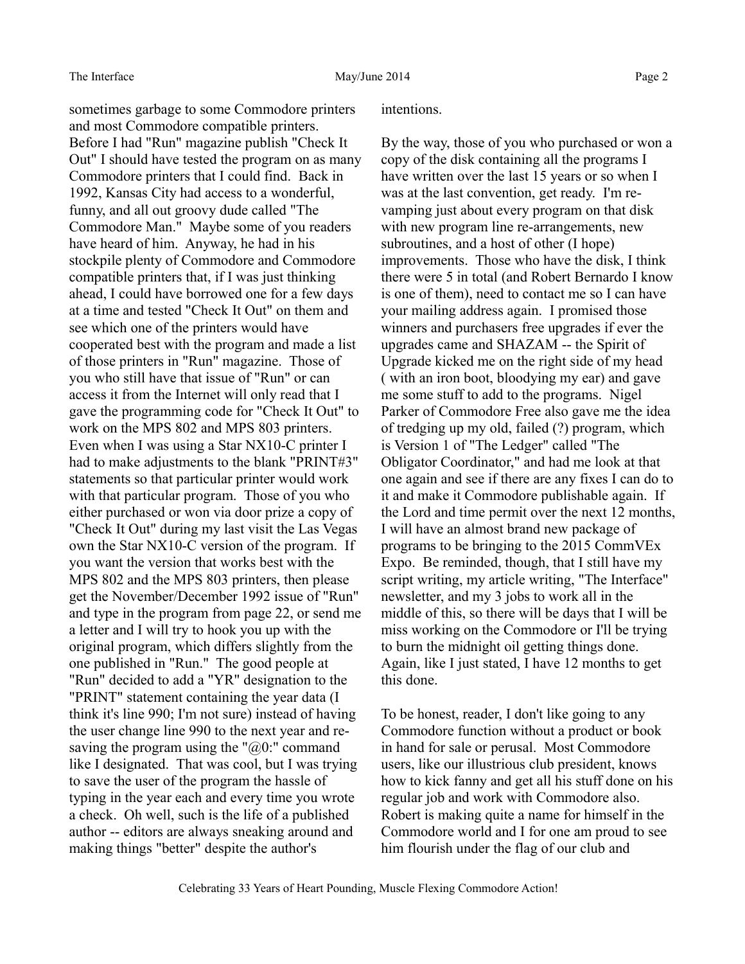sometimes garbage to some Commodore printers and most Commodore compatible printers. Before I had "Run" magazine publish "Check It Out" I should have tested the program on as many Commodore printers that I could find. Back in 1992, Kansas City had access to a wonderful, funny, and all out groovy dude called "The Commodore Man." Maybe some of you readers have heard of him. Anyway, he had in his stockpile plenty of Commodore and Commodore compatible printers that, if I was just thinking ahead, I could have borrowed one for a few days at a time and tested "Check It Out" on them and see which one of the printers would have cooperated best with the program and made a list of those printers in "Run" magazine. Those of you who still have that issue of "Run" or can access it from the Internet will only read that I gave the programming code for "Check It Out" to work on the MPS 802 and MPS 803 printers. Even when I was using a Star NX10-C printer I had to make adjustments to the blank "PRINT#3" statements so that particular printer would work with that particular program. Those of you who either purchased or won via door prize a copy of "Check It Out" during my last visit the Las Vegas own the Star NX10-C version of the program. If you want the version that works best with the MPS 802 and the MPS 803 printers, then please get the November/December 1992 issue of "Run" and type in the program from page 22, or send me a letter and I will try to hook you up with the original program, which differs slightly from the one published in "Run." The good people at "Run" decided to add a "YR" designation to the "PRINT" statement containing the year data (I think it's line 990; I'm not sure) instead of having the user change line 990 to the next year and resaving the program using the " $@0$ :" command like I designated. That was cool, but I was trying to save the user of the program the hassle of typing in the year each and every time you wrote a check. Oh well, such is the life of a published author -- editors are always sneaking around and making things "better" despite the author's

#### intentions.

By the way, those of you who purchased or won a copy of the disk containing all the programs I have written over the last 15 years or so when I was at the last convention, get ready. I'm revamping just about every program on that disk with new program line re-arrangements, new subroutines, and a host of other (I hope) improvements. Those who have the disk, I think there were 5 in total (and Robert Bernardo I know is one of them), need to contact me so I can have your mailing address again. I promised those winners and purchasers free upgrades if ever the upgrades came and SHAZAM -- the Spirit of Upgrade kicked me on the right side of my head ( with an iron boot, bloodying my ear) and gave me some stuff to add to the programs. Nigel Parker of Commodore Free also gave me the idea of tredging up my old, failed (?) program, which is Version 1 of "The Ledger" called "The Obligator Coordinator," and had me look at that one again and see if there are any fixes I can do to it and make it Commodore publishable again. If the Lord and time permit over the next 12 months, I will have an almost brand new package of programs to be bringing to the 2015 CommVEx Expo. Be reminded, though, that I still have my script writing, my article writing, "The Interface" newsletter, and my 3 jobs to work all in the middle of this, so there will be days that I will be miss working on the Commodore or I'll be trying to burn the midnight oil getting things done. Again, like I just stated, I have 12 months to get this done.

To be honest, reader, I don't like going to any Commodore function without a product or book in hand for sale or perusal. Most Commodore users, like our illustrious club president, knows how to kick fanny and get all his stuff done on his regular job and work with Commodore also. Robert is making quite a name for himself in the Commodore world and I for one am proud to see him flourish under the flag of our club and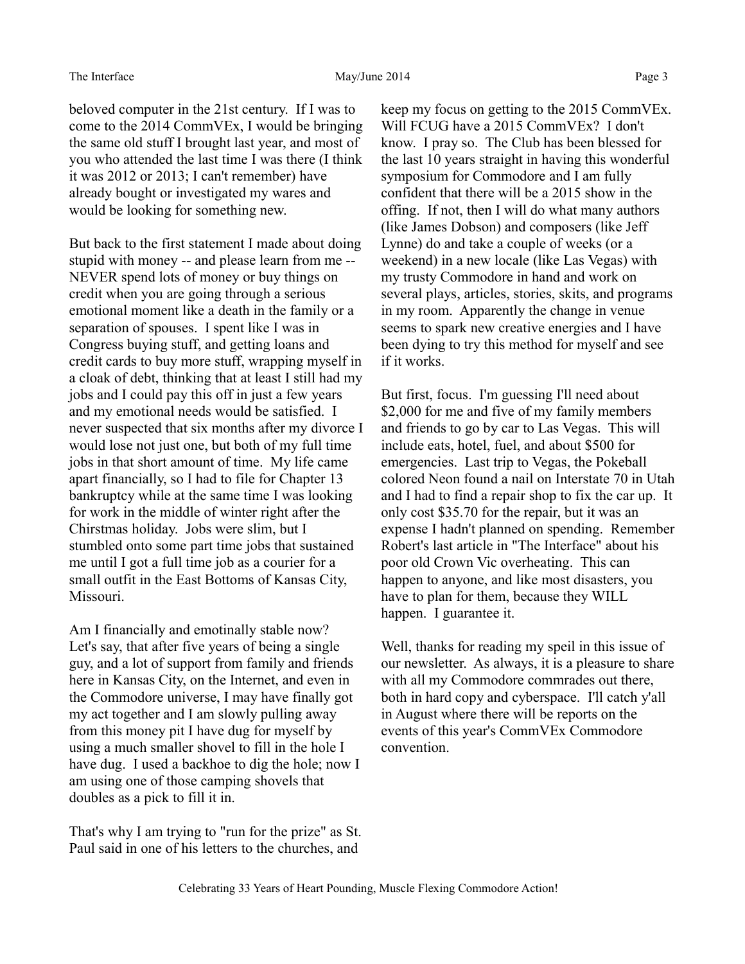beloved computer in the 21st century. If I was to come to the 2014 CommVEx, I would be bringing the same old stuff I brought last year, and most of you who attended the last time I was there (I think it was 2012 or 2013; I can't remember) have already bought or investigated my wares and would be looking for something new.

But back to the first statement I made about doing stupid with money -- and please learn from me -- NEVER spend lots of money or buy things on credit when you are going through a serious emotional moment like a death in the family or a separation of spouses. I spent like I was in Congress buying stuff, and getting loans and credit cards to buy more stuff, wrapping myself in a cloak of debt, thinking that at least I still had my jobs and I could pay this off in just a few years and my emotional needs would be satisfied. I never suspected that six months after my divorce I would lose not just one, but both of my full time jobs in that short amount of time. My life came apart financially, so I had to file for Chapter 13 bankruptcy while at the same time I was looking for work in the middle of winter right after the Chirstmas holiday. Jobs were slim, but I stumbled onto some part time jobs that sustained me until I got a full time job as a courier for a small outfit in the East Bottoms of Kansas City, Missouri.

Am I financially and emotinally stable now? Let's say, that after five years of being a single guy, and a lot of support from family and friends here in Kansas City, on the Internet, and even in the Commodore universe, I may have finally got my act together and I am slowly pulling away from this money pit I have dug for myself by using a much smaller shovel to fill in the hole I have dug. I used a backhoe to dig the hole; now I am using one of those camping shovels that doubles as a pick to fill it in.

That's why I am trying to "run for the prize" as St. Paul said in one of his letters to the churches, and

keep my focus on getting to the 2015 CommVEx. Will FCUG have a 2015 CommVEx? I don't know. I pray so. The Club has been blessed for the last 10 years straight in having this wonderful symposium for Commodore and I am fully confident that there will be a 2015 show in the offing. If not, then I will do what many authors (like James Dobson) and composers (like Jeff Lynne) do and take a couple of weeks (or a weekend) in a new locale (like Las Vegas) with my trusty Commodore in hand and work on several plays, articles, stories, skits, and programs in my room. Apparently the change in venue seems to spark new creative energies and I have been dying to try this method for myself and see if it works.

But first, focus. I'm guessing I'll need about \$2,000 for me and five of my family members and friends to go by car to Las Vegas. This will include eats, hotel, fuel, and about \$500 for emergencies. Last trip to Vegas, the Pokeball colored Neon found a nail on Interstate 70 in Utah and I had to find a repair shop to fix the car up. It only cost \$35.70 for the repair, but it was an expense I hadn't planned on spending. Remember Robert's last article in "The Interface" about his poor old Crown Vic overheating. This can happen to anyone, and like most disasters, you have to plan for them, because they WILL happen. I guarantee it.

Well, thanks for reading my speil in this issue of our newsletter. As always, it is a pleasure to share with all my Commodore commrades out there, both in hard copy and cyberspace. I'll catch y'all in August where there will be reports on the events of this year's CommVEx Commodore convention.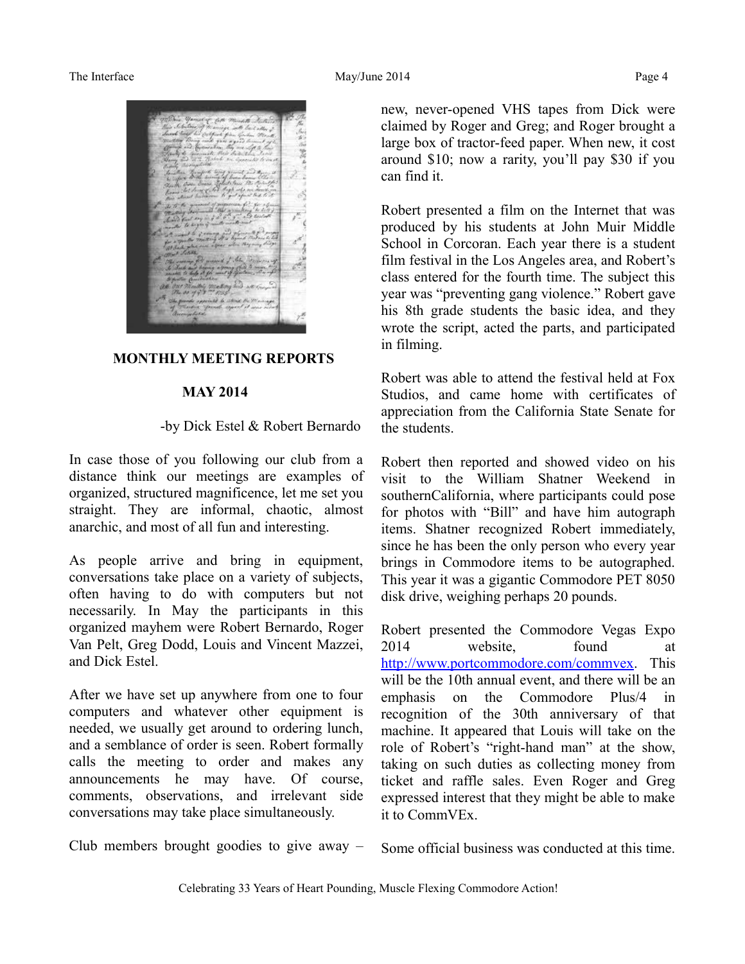The Interface and the May/June 2014 Page 4



#### **MONTHLY MEETING REPORTS**

#### **MAY 2014**

#### -by Dick Estel & Robert Bernardo

In case those of you following our club from a distance think our meetings are examples of organized, structured magnificence, let me set you straight. They are informal, chaotic, almost anarchic, and most of all fun and interesting.

As people arrive and bring in equipment, conversations take place on a variety of subjects, often having to do with computers but not necessarily. In May the participants in this organized mayhem were Robert Bernardo, Roger Van Pelt, Greg Dodd, Louis and Vincent Mazzei, and Dick Estel.

After we have set up anywhere from one to four computers and whatever other equipment is needed, we usually get around to ordering lunch, and a semblance of order is seen. Robert formally calls the meeting to order and makes any announcements he may have. Of course, comments, observations, and irrelevant side conversations may take place simultaneously.

new, never-opened VHS tapes from Dick were claimed by Roger and Greg; and Roger brought a large box of tractor-feed paper. When new, it cost around \$10; now a rarity, you'll pay \$30 if you can find it.

Robert presented a film on the Internet that was produced by his students at John Muir Middle School in Corcoran. Each year there is a student film festival in the Los Angeles area, and Robert's class entered for the fourth time. The subject this year was "preventing gang violence." Robert gave his 8th grade students the basic idea, and they wrote the script, acted the parts, and participated in filming.

Robert was able to attend the festival held at Fox Studios, and came home with certificates of appreciation from the California State Senate for the students.

Robert then reported and showed video on his visit to the William Shatner Weekend in southernCalifornia, where participants could pose for photos with "Bill" and have him autograph items. Shatner recognized Robert immediately, since he has been the only person who every year brings in Commodore items to be autographed. This year it was a gigantic Commodore PET 8050 disk drive, weighing perhaps 20 pounds.

Robert presented the Commodore Vegas Expo 2014 website, found at [http://www.portcommodore.com/commvex.](http://www.portcommodore.com/commvex) This will be the 10th annual event, and there will be an emphasis on the Commodore Plus/4 in recognition of the 30th anniversary of that machine. It appeared that Louis will take on the role of Robert's "right-hand man" at the show, taking on such duties as collecting money from ticket and raffle sales. Even Roger and Greg expressed interest that they might be able to make it to CommVEx.

Club members brought goodies to give away –

Some official business was conducted at this time.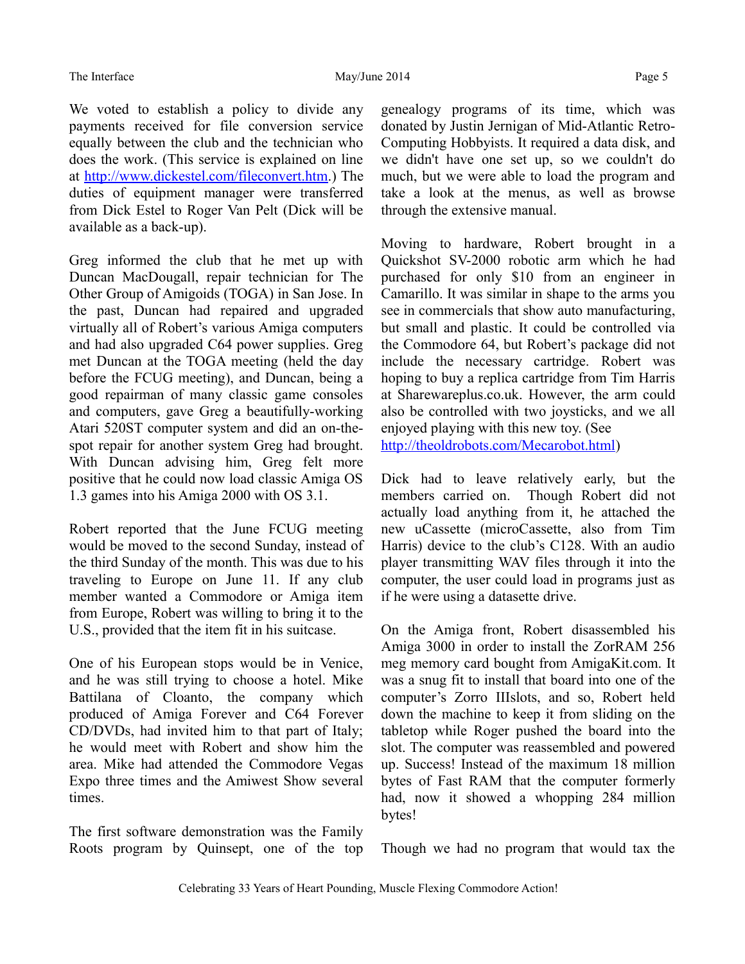We voted to establish a policy to divide any payments received for file conversion service equally between the club and the technician who does the work. (This service is explained on line at [http://www.dickestel.com/fileconvert.htm.](http://www.dickestel.com/fileconvert.htm)) The duties of equipment manager were transferred from Dick Estel to Roger Van Pelt (Dick will be available as a back-up).

Greg informed the club that he met up with Duncan MacDougall, repair technician for The Other Group of Amigoids (TOGA) in San Jose. In the past, Duncan had repaired and upgraded virtually all of Robert's various Amiga computers and had also upgraded C64 power supplies. Greg met Duncan at the TOGA meeting (held the day before the FCUG meeting), and Duncan, being a good repairman of many classic game consoles and computers, gave Greg a beautifully-working Atari 520ST computer system and did an on-thespot repair for another system Greg had brought. With Duncan advising him, Greg felt more positive that he could now load classic Amiga OS 1.3 games into his Amiga 2000 with OS 3.1.

Robert reported that the June FCUG meeting would be moved to the second Sunday, instead of the third Sunday of the month. This was due to his traveling to Europe on June 11. If any club member wanted a Commodore or Amiga item from Europe, Robert was willing to bring it to the U.S., provided that the item fit in his suitcase.

One of his European stops would be in Venice, and he was still trying to choose a hotel. Mike Battilana of Cloanto, the company which produced of Amiga Forever and C64 Forever CD/DVDs, had invited him to that part of Italy; he would meet with Robert and show him the area. Mike had attended the Commodore Vegas Expo three times and the Amiwest Show several times.

The first software demonstration was the Family Roots program by Quinsept, one of the top genealogy programs of its time, which was donated by Justin Jernigan of Mid-Atlantic Retro-Computing Hobbyists. It required a data disk, and we didn't have one set up, so we couldn't do much, but we were able to load the program and take a look at the menus, as well as browse through the extensive manual.

Moving to hardware, Robert brought in a Quickshot SV-2000 robotic arm which he had purchased for only \$10 from an engineer in Camarillo. It was similar in shape to the arms you see in commercials that show auto manufacturing, but small and plastic. It could be controlled via the Commodore 64, but Robert's package did not include the necessary cartridge. Robert was hoping to buy a replica cartridge from Tim Harris at Sharewareplus.co.uk. However, the arm could also be controlled with two joysticks, and we all enjoyed playing with this new toy. (See [http://theoldrobots.com/Mecarobot.html\)](http://theoldrobots.com/Mecarobot.html)

Dick had to leave relatively early, but the members carried on. Though Robert did not actually load anything from it, he attached the new uCassette (microCassette, also from Tim Harris) device to the club's C128. With an audio player transmitting WAV files through it into the computer, the user could load in programs just as if he were using a datasette drive.

On the Amiga front, Robert disassembled his Amiga 3000 in order to install the ZorRAM 256 meg memory card bought from AmigaKit.com. It was a snug fit to install that board into one of the computer's Zorro IIIslots, and so, Robert held down the machine to keep it from sliding on the tabletop while Roger pushed the board into the slot. The computer was reassembled and powered up. Success! Instead of the maximum 18 million bytes of Fast RAM that the computer formerly had, now it showed a whopping 284 million bytes!

Though we had no program that would tax the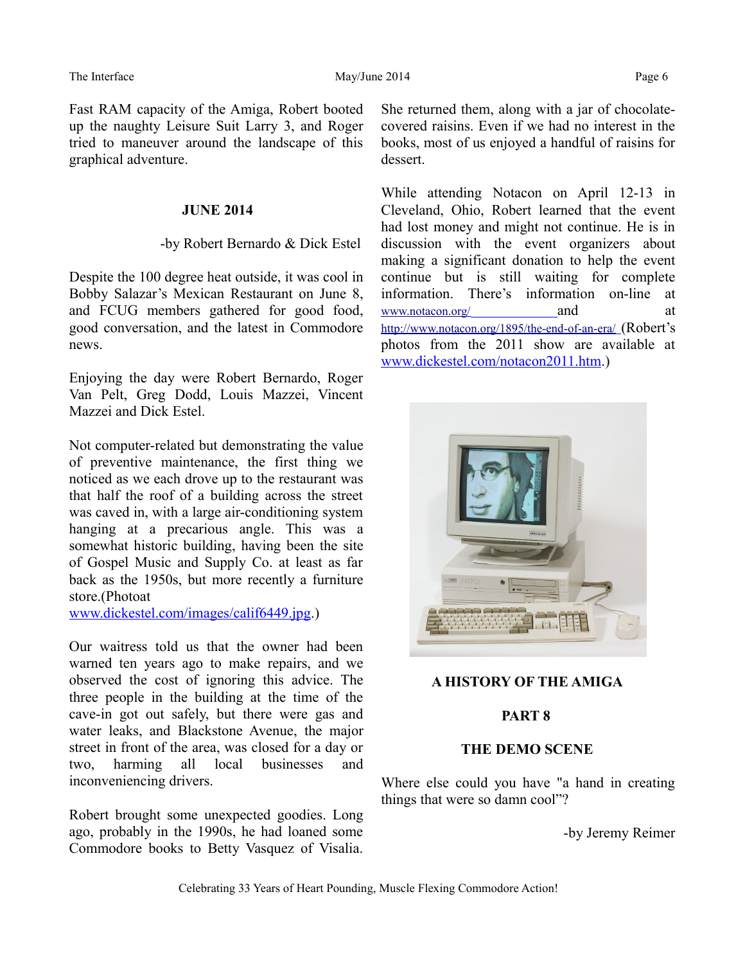Fast RAM capacity of the Amiga, Robert booted up the naughty Leisure Suit Larry 3, and Roger tried to maneuver around the landscape of this graphical adventure.

#### **JUNE 2014**

#### -by Robert Bernardo & Dick Estel

Despite the 100 degree heat outside, it was cool in Bobby Salazar's Mexican Restaurant on June 8, and FCUG members gathered for good food, good conversation, and the latest in Commodore news.

Enjoying the day were Robert Bernardo, Roger Van Pelt, Greg Dodd, Louis Mazzei, Vincent Mazzei and Dick Estel.

Not computer-related but demonstrating the value of preventive maintenance, the first thing we noticed as we each drove up to the restaurant was that half the roof of a building across the street was caved in, with a large air-conditioning system hanging at a precarious angle. This was a somewhat historic building, having been the site of Gospel Music and Supply Co. at least as far back as the 1950s, but more recently a furniture store.(Photoat

[www.dickestel.com/images/calif6449.jpg.](http://www.dickestel.com/))

Our waitress told us that the owner had been warned ten years ago to make repairs, and we observed the cost of ignoring this advice. The three people in the building at the time of the cave-in got out safely, but there were gas and water leaks, and Blackstone Avenue, the major street in front of the area, was closed for a day or two, harming all local businesses and inconveniencing drivers.

Robert brought some unexpected goodies. Long ago, probably in the 1990s, he had loaned some Commodore books to Betty Vasquez of Visalia.

She returned them, along with a jar of chocolatecovered raisins. Even if we had no interest in the books, most of us enjoyed a handful of raisins for dessert.

While attending Notacon on April 12-13 in Cleveland, Ohio, Robert learned that the event had lost money and might not continue. He is in discussion with the event organizers about making a significant donation to help the event continue but is still waiting for complete information. There's information on-line at [www.notacon.org/](http://www.notacon.org/) and at <http://www.notacon.org/1895/the-end-of-an-era/> (Robert's photos from the 2011 show are available at [www.dickestel.com/notacon2011.htm.](http://www.dickestel.com/notacon2011.htm))



## **A HISTORY OF THE AMIGA**

## **PART 8**

#### **THE DEMO SCENE**

Where else could you have "a hand in creating things that were so damn cool"?

-by Jeremy Reimer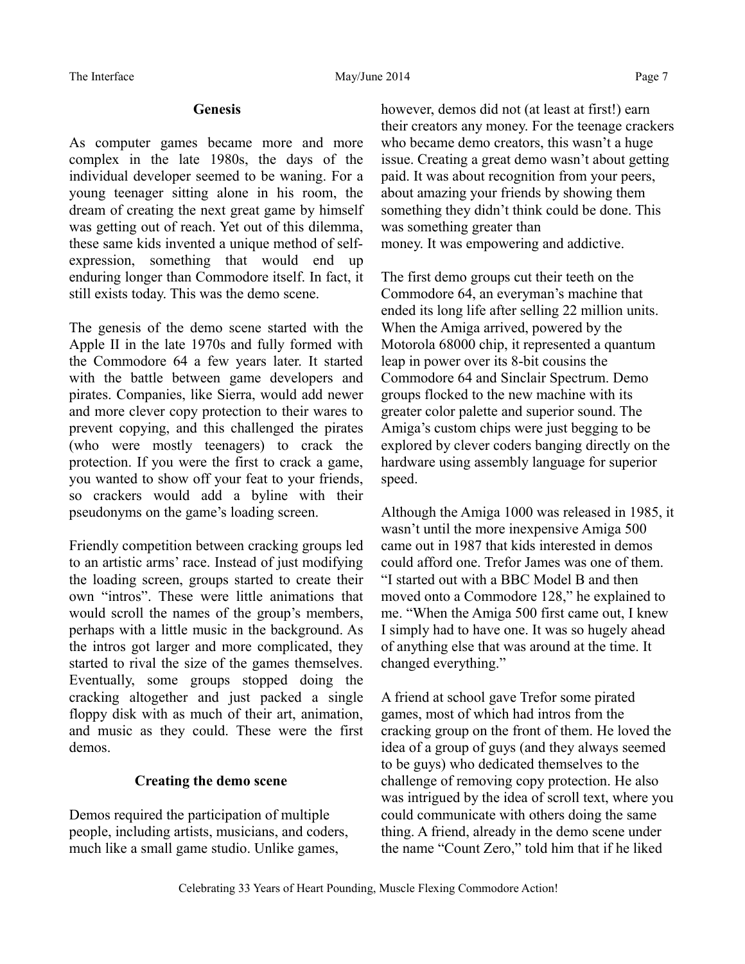## **Genesis**

As computer games became more and more complex in the late 1980s, the days of the individual developer seemed to be waning. For a young teenager sitting alone in his room, the dream of creating the next great game by himself was getting out of reach. Yet out of this dilemma, these same kids invented a unique method of selfexpression, something that would end up enduring longer than Commodore itself. In fact, it still exists today. This was the demo scene.

The genesis of the demo scene started with the Apple II in the late 1970s and fully formed with the Commodore 64 a few years later. It started with the battle between game developers and pirates. Companies, like Sierra, would add newer and more clever copy protection to their wares to prevent copying, and this challenged the pirates (who were mostly teenagers) to crack the protection. If you were the first to crack a game, you wanted to show off your feat to your friends, so crackers would add a byline with their pseudonyms on the game's loading screen.

Friendly competition between cracking groups led to an artistic arms' race. Instead of just modifying the loading screen, groups started to create their own "intros". These were little animations that would scroll the names of the group's members, perhaps with a little music in the background. As the intros got larger and more complicated, they started to rival the size of the games themselves. Eventually, some groups stopped doing the cracking altogether and just packed a single floppy disk with as much of their art, animation, and music as they could. These were the first demos.

# **Creating the demo scene**

Demos required the participation of multiple people, including artists, musicians, and coders, much like a small game studio. Unlike games,

however, demos did not (at least at first!) earn their creators any money. For the teenage crackers who became demo creators, this wasn't a huge issue. Creating a great demo wasn't about getting paid. It was about recognition from your peers, about amazing your friends by showing them something they didn't think could be done. This was something greater than money. It was empowering and addictive.

The first demo groups cut their teeth on the Commodore 64, an everyman's machine that ended its long life after selling 22 million units. When the Amiga arrived, powered by the Motorola 68000 chip, it represented a quantum leap in power over its 8-bit cousins the Commodore 64 and Sinclair Spectrum. Demo groups flocked to the new machine with its greater color palette and superior sound. The Amiga's custom chips were just begging to be explored by clever coders banging directly on the hardware using assembly language for superior speed.

Although the Amiga 1000 was released in 1985, it wasn't until the more inexpensive Amiga 500 came out in 1987 that kids interested in demos could afford one. Trefor James was one of them. "I started out with a BBC Model B and then moved onto a Commodore 128," he explained to me. "When the Amiga 500 first came out, I knew I simply had to have one. It was so hugely ahead of anything else that was around at the time. It changed everything."

A friend at school gave Trefor some pirated games, most of which had intros from the cracking group on the front of them. He loved the idea of a group of guys (and they always seemed to be guys) who dedicated themselves to the challenge of removing copy protection. He also was intrigued by the idea of scroll text, where you could communicate with others doing the same thing. A friend, already in the demo scene under the name "Count Zero," told him that if he liked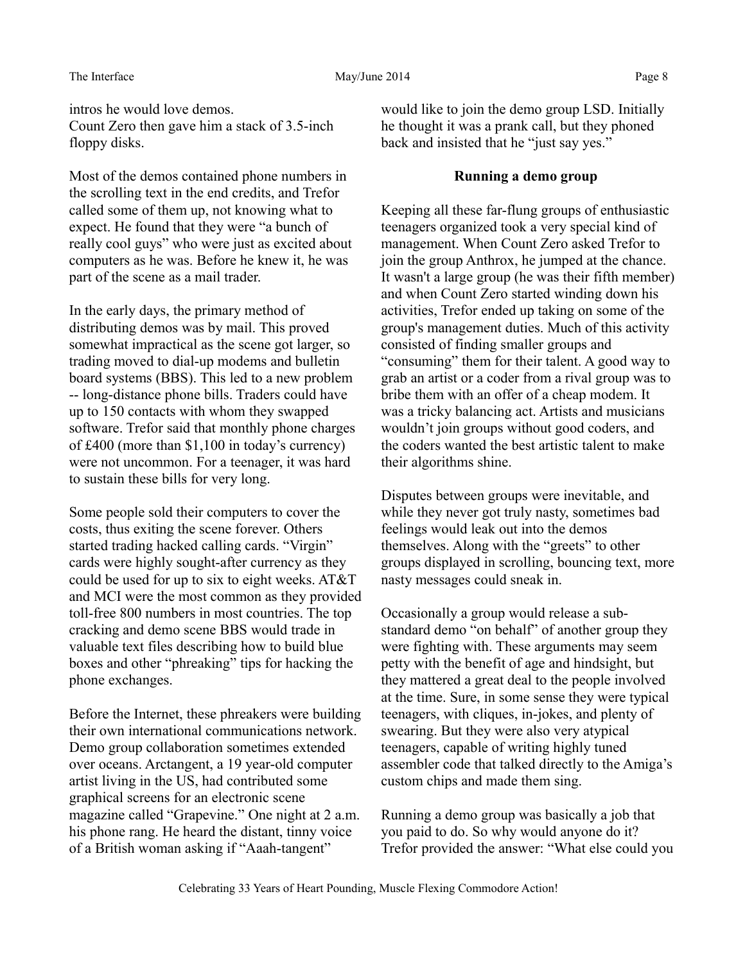intros he would love demos. Count Zero then gave him a stack of 3.5-inch floppy disks.

Most of the demos contained phone numbers in the scrolling text in the end credits, and Trefor called some of them up, not knowing what to expect. He found that they were "a bunch of really cool guys" who were just as excited about computers as he was. Before he knew it, he was part of the scene as a mail trader.

In the early days, the primary method of distributing demos was by mail. This proved somewhat impractical as the scene got larger, so trading moved to dial-up modems and bulletin board systems (BBS). This led to a new problem -- long-distance phone bills. Traders could have up to 150 contacts with whom they swapped software. Trefor said that monthly phone charges of £400 (more than \$1,100 in today's currency) were not uncommon. For a teenager, it was hard to sustain these bills for very long.

Some people sold their computers to cover the costs, thus exiting the scene forever. Others started trading hacked calling cards. "Virgin" cards were highly sought-after currency as they could be used for up to six to eight weeks. AT&T and MCI were the most common as they provided toll-free 800 numbers in most countries. The top cracking and demo scene BBS would trade in valuable text files describing how to build blue boxes and other "phreaking" tips for hacking the phone exchanges.

Before the Internet, these phreakers were building their own international communications network. Demo group collaboration sometimes extended over oceans. Arctangent, a 19 year-old computer artist living in the US, had contributed some graphical screens for an electronic scene magazine called "Grapevine." One night at 2 a.m. his phone rang. He heard the distant, tinny voice of a British woman asking if "Aaah-tangent"

would like to join the demo group LSD. Initially he thought it was a prank call, but they phoned back and insisted that he "just say yes."

#### **Running a demo group**

Keeping all these far-flung groups of enthusiastic teenagers organized took a very special kind of management. When Count Zero asked Trefor to join the group Anthrox, he jumped at the chance. It wasn't a large group (he was their fifth member) and when Count Zero started winding down his activities, Trefor ended up taking on some of the group's management duties. Much of this activity consisted of finding smaller groups and "consuming" them for their talent. A good way to grab an artist or a coder from a rival group was to bribe them with an offer of a cheap modem. It was a tricky balancing act. Artists and musicians wouldn't join groups without good coders, and the coders wanted the best artistic talent to make their algorithms shine.

Disputes between groups were inevitable, and while they never got truly nasty, sometimes bad feelings would leak out into the demos themselves. Along with the "greets" to other groups displayed in scrolling, bouncing text, more nasty messages could sneak in.

Occasionally a group would release a substandard demo "on behalf" of another group they were fighting with. These arguments may seem petty with the benefit of age and hindsight, but they mattered a great deal to the people involved at the time. Sure, in some sense they were typical teenagers, with cliques, in-jokes, and plenty of swearing. But they were also very atypical teenagers, capable of writing highly tuned assembler code that talked directly to the Amiga's custom chips and made them sing.

Running a demo group was basically a job that you paid to do. So why would anyone do it? Trefor provided the answer: "What else could you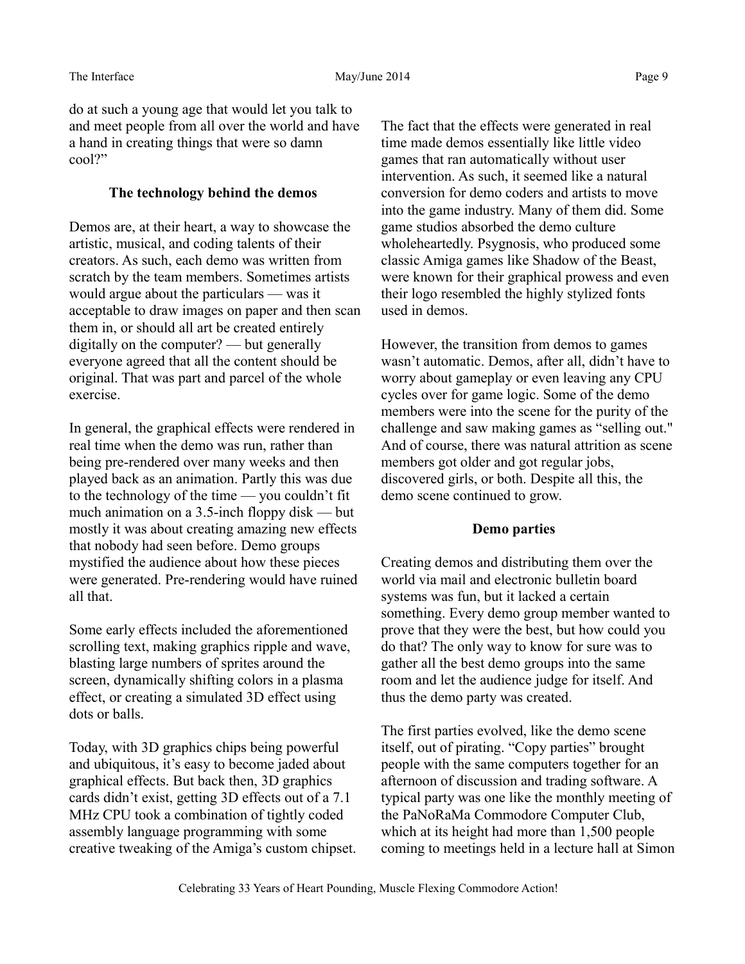do at such a young age that would let you talk to and meet people from all over the world and have a hand in creating things that were so damn cool?"

# **The technology behind the demos**

Demos are, at their heart, a way to showcase the artistic, musical, and coding talents of their creators. As such, each demo was written from scratch by the team members. Sometimes artists would argue about the particulars — was it acceptable to draw images on paper and then scan them in, or should all art be created entirely digitally on the computer? — but generally everyone agreed that all the content should be original. That was part and parcel of the whole exercise.

In general, the graphical effects were rendered in real time when the demo was run, rather than being pre-rendered over many weeks and then played back as an animation. Partly this was due to the technology of the time — you couldn't fit much animation on a 3.5-inch floppy disk — but mostly it was about creating amazing new effects that nobody had seen before. Demo groups mystified the audience about how these pieces were generated. Pre-rendering would have ruined all that.

Some early effects included the aforementioned scrolling text, making graphics ripple and wave, blasting large numbers of sprites around the screen, dynamically shifting colors in a plasma effect, or creating a simulated 3D effect using dots or balls.

Today, with 3D graphics chips being powerful and ubiquitous, it's easy to become jaded about graphical effects. But back then, 3D graphics cards didn't exist, getting 3D effects out of a 7.1 MHz CPU took a combination of tightly coded assembly language programming with some creative tweaking of the Amiga's custom chipset. The fact that the effects were generated in real time made demos essentially like little video games that ran automatically without user intervention. As such, it seemed like a natural conversion for demo coders and artists to move into the game industry. Many of them did. Some game studios absorbed the demo culture wholeheartedly. Psygnosis, who produced some classic Amiga games like Shadow of the Beast, were known for their graphical prowess and even their logo resembled the highly stylized fonts used in demos.

However, the transition from demos to games wasn't automatic. Demos, after all, didn't have to worry about gameplay or even leaving any CPU cycles over for game logic. Some of the demo members were into the scene for the purity of the challenge and saw making games as "selling out." And of course, there was natural attrition as scene members got older and got regular jobs, discovered girls, or both. Despite all this, the demo scene continued to grow.

# **Demo parties**

Creating demos and distributing them over the world via mail and electronic bulletin board systems was fun, but it lacked a certain something. Every demo group member wanted to prove that they were the best, but how could you do that? The only way to know for sure was to gather all the best demo groups into the same room and let the audience judge for itself. And thus the demo party was created.

The first parties evolved, like the demo scene itself, out of pirating. "Copy parties" brought people with the same computers together for an afternoon of discussion and trading software. A typical party was one like the monthly meeting of the PaNoRaMa Commodore Computer Club, which at its height had more than 1,500 people coming to meetings held in a lecture hall at Simon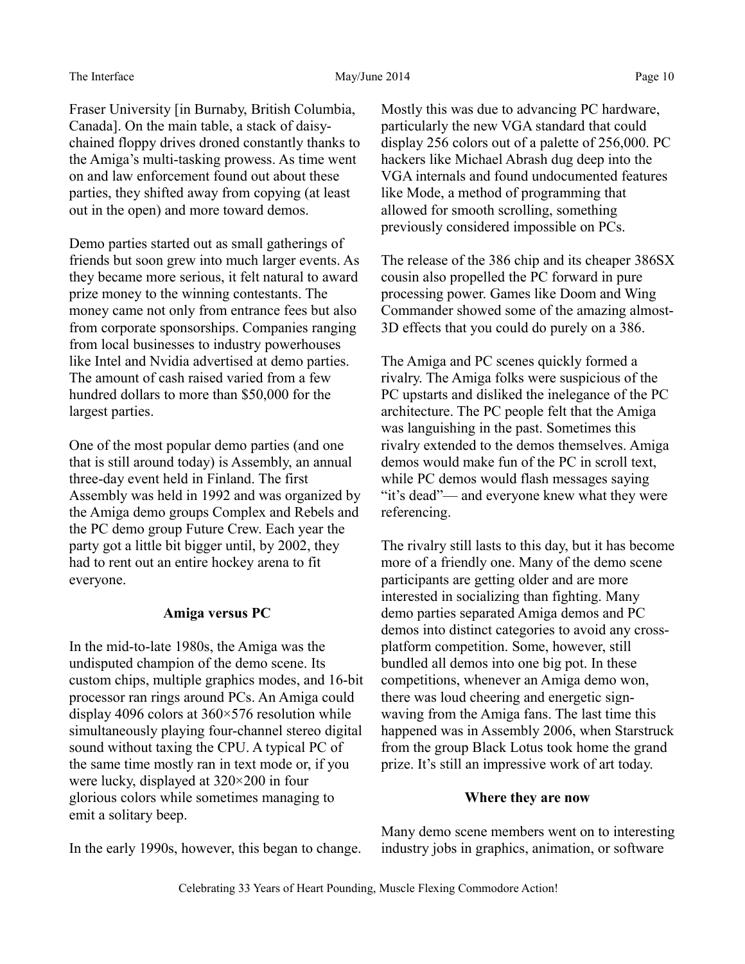Fraser University [in Burnaby, British Columbia, Canada]. On the main table, a stack of daisychained floppy drives droned constantly thanks to the Amiga's multi-tasking prowess. As time went on and law enforcement found out about these parties, they shifted away from copying (at least out in the open) and more toward demos.

Demo parties started out as small gatherings of friends but soon grew into much larger events. As they became more serious, it felt natural to award prize money to the winning contestants. The money came not only from entrance fees but also from corporate sponsorships. Companies ranging from local businesses to industry powerhouses like Intel and Nvidia advertised at demo parties. The amount of cash raised varied from a few hundred dollars to more than \$50,000 for the largest parties.

One of the most popular demo parties (and one that is still around today) is Assembly, an annual three-day event held in Finland. The first Assembly was held in 1992 and was organized by the Amiga demo groups Complex and Rebels and the PC demo group Future Crew. Each year the party got a little bit bigger until, by 2002, they had to rent out an entire hockey arena to fit everyone.

## **Amiga versus PC**

In the mid-to-late 1980s, the Amiga was the undisputed champion of the demo scene. Its custom chips, multiple graphics modes, and 16-bit processor ran rings around PCs. An Amiga could display 4096 colors at 360×576 resolution while simultaneously playing four-channel stereo digital sound without taxing the CPU. A typical PC of the same time mostly ran in text mode or, if you were lucky, displayed at 320×200 in four glorious colors while sometimes managing to emit a solitary beep.

In the early 1990s, however, this began to change.

Mostly this was due to advancing PC hardware, particularly the new VGA standard that could display 256 colors out of a palette of 256,000. PC hackers like Michael Abrash dug deep into the VGA internals and found undocumented features like Mode, a method of programming that allowed for smooth scrolling, something previously considered impossible on PCs.

The release of the 386 chip and its cheaper 386SX cousin also propelled the PC forward in pure processing power. Games like Doom and Wing Commander showed some of the amazing almost-3D effects that you could do purely on a 386.

The Amiga and PC scenes quickly formed a rivalry. The Amiga folks were suspicious of the PC upstarts and disliked the inelegance of the PC architecture. The PC people felt that the Amiga was languishing in the past. Sometimes this rivalry extended to the demos themselves. Amiga demos would make fun of the PC in scroll text, while PC demos would flash messages saying "it's dead"— and everyone knew what they were referencing.

The rivalry still lasts to this day, but it has become more of a friendly one. Many of the demo scene participants are getting older and are more interested in socializing than fighting. Many demo parties separated Amiga demos and PC demos into distinct categories to avoid any crossplatform competition. Some, however, still bundled all demos into one big pot. In these competitions, whenever an Amiga demo won, there was loud cheering and energetic signwaving from the Amiga fans. The last time this happened was in Assembly 2006, when Starstruck from the group Black Lotus took home the grand prize. It's still an impressive work of art today.

#### **Where they are now**

Many demo scene members went on to interesting industry jobs in graphics, animation, or software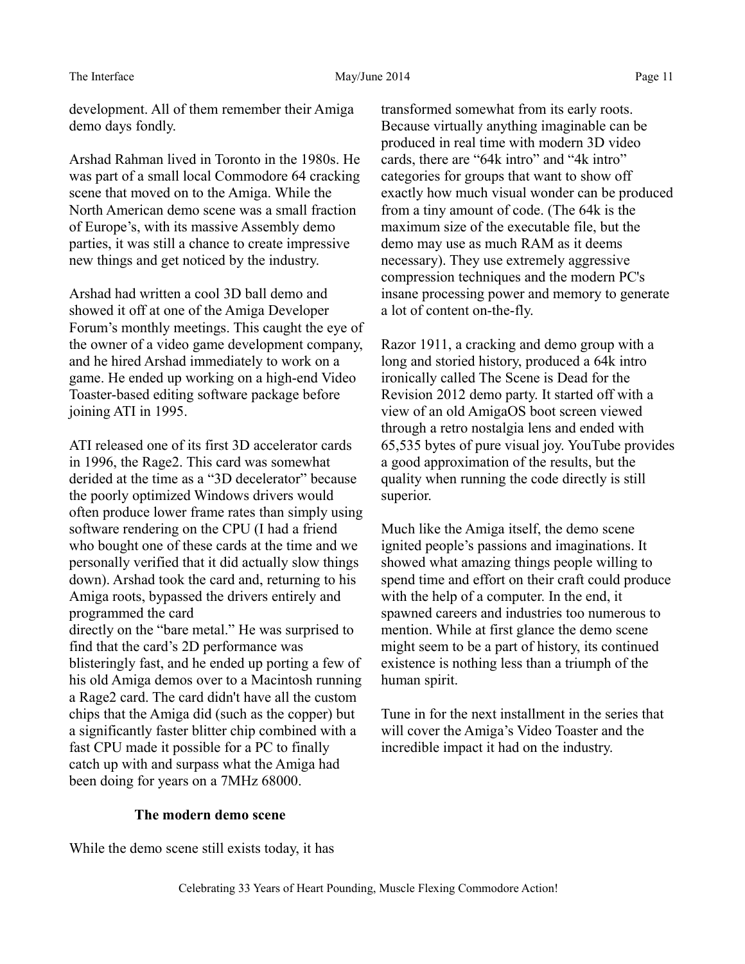development. All of them remember their Amiga demo days fondly.

Arshad Rahman lived in Toronto in the 1980s. He was part of a small local Commodore 64 cracking scene that moved on to the Amiga. While the North American demo scene was a small fraction of Europe's, with its massive Assembly demo parties, it was still a chance to create impressive new things and get noticed by the industry.

Arshad had written a cool 3D ball demo and showed it off at one of the Amiga Developer Forum's monthly meetings. This caught the eye of the owner of a video game development company, and he hired Arshad immediately to work on a game. He ended up working on a high-end Video Toaster-based editing software package before joining ATI in 1995.

ATI released one of its first 3D accelerator cards in 1996, the Rage2. This card was somewhat derided at the time as a "3D decelerator" because the poorly optimized Windows drivers would often produce lower frame rates than simply using software rendering on the CPU (I had a friend who bought one of these cards at the time and we personally verified that it did actually slow things down). Arshad took the card and, returning to his Amiga roots, bypassed the drivers entirely and programmed the card directly on the "bare metal." He was surprised to find that the card's 2D performance was blisteringly fast, and he ended up porting a few of his old Amiga demos over to a Macintosh running a Rage2 card. The card didn't have all the custom chips that the Amiga did (such as the copper) but a significantly faster blitter chip combined with a fast CPU made it possible for a PC to finally catch up with and surpass what the Amiga had been doing for years on a 7MHz 68000.

transformed somewhat from its early roots. Because virtually anything imaginable can be produced in real time with modern 3D video cards, there are "64k intro" and "4k intro" categories for groups that want to show off exactly how much visual wonder can be produced from a tiny amount of code. (The 64k is the maximum size of the executable file, but the demo may use as much RAM as it deems necessary). They use extremely aggressive compression techniques and the modern PC's insane processing power and memory to generate a lot of content on-the-fly.

Razor 1911, a cracking and demo group with a long and storied history, produced a 64k intro ironically called The Scene is Dead for the Revision 2012 demo party. It started off with a view of an old AmigaOS boot screen viewed through a retro nostalgia lens and ended with 65,535 bytes of pure visual joy. YouTube provides a good approximation of the results, but the quality when running the code directly is still superior.

Much like the Amiga itself, the demo scene ignited people's passions and imaginations. It showed what amazing things people willing to spend time and effort on their craft could produce with the help of a computer. In the end, it spawned careers and industries too numerous to mention. While at first glance the demo scene might seem to be a part of history, its continued existence is nothing less than a triumph of the human spirit.

Tune in for the next installment in the series that will cover the Amiga's Video Toaster and the incredible impact it had on the industry.

# **The modern demo scene**

While the demo scene still exists today, it has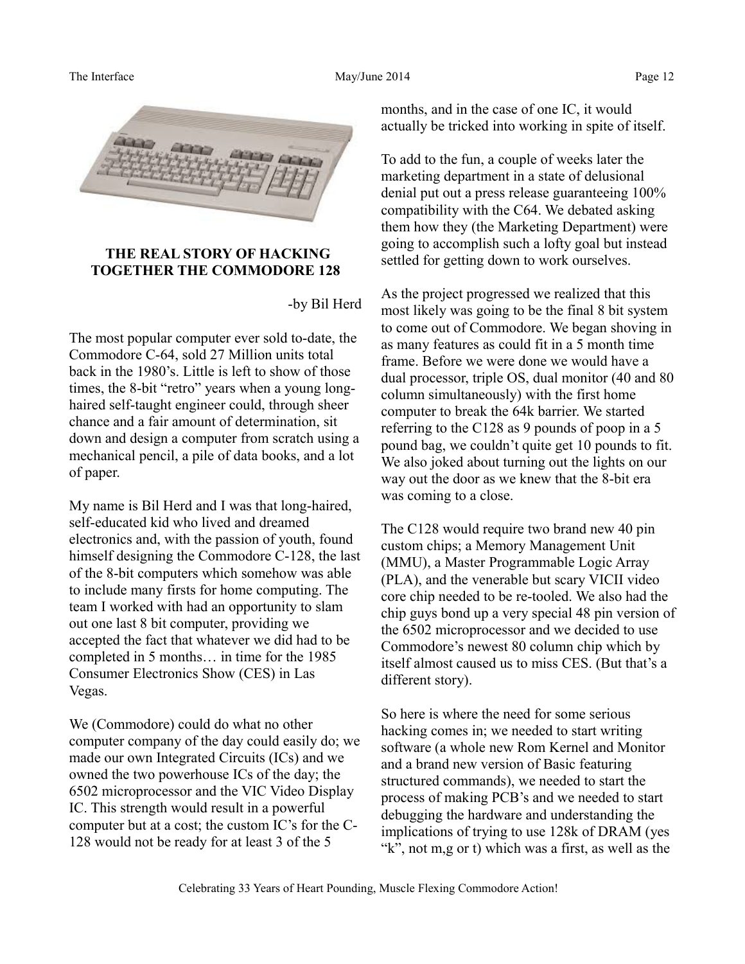

## **THE REAL STORY OF HACKING TOGETHER THE COMMODORE 128**

#### -by Bil Herd

The most popular computer ever sold to-date, the Commodore C-64, sold 27 Million units total back in the 1980's. Little is left to show of those times, the 8-bit "retro" years when a young longhaired self-taught engineer could, through sheer chance and a fair amount of determination, sit down and design a computer from scratch using a mechanical pencil, a pile of data books, and a lot of paper.

My name is Bil Herd and I was that long-haired, self-educated kid who lived and dreamed electronics and, with the passion of youth, found himself designing the Commodore C-128, the last of the 8-bit computers which somehow was able to include many firsts for home computing. The team I worked with had an opportunity to slam out one last 8 bit computer, providing we accepted the fact that whatever we did had to be completed in 5 months… in time for the 1985 Consumer Electronics Show (CES) in Las Vegas.

We (Commodore) could do what no other computer company of the day could easily do; we made our own Integrated Circuits (ICs) and we owned the two powerhouse ICs of the day; the 6502 microprocessor and the VIC Video Display IC. This strength would result in a powerful computer but at a cost; the custom IC's for the C-128 would not be ready for at least 3 of the 5

months, and in the case of one IC, it would actually be tricked into working in spite of itself.

To add to the fun, a couple of weeks later the marketing department in a state of delusional denial put out a press release guaranteeing 100% compatibility with the C64. We debated asking them how they (the Marketing Department) were going to accomplish such a lofty goal but instead settled for getting down to work ourselves.

As the project progressed we realized that this most likely was going to be the final 8 bit system to come out of Commodore. We began shoving in as many features as could fit in a 5 month time frame. Before we were done we would have a dual processor, triple OS, dual monitor (40 and 80 column simultaneously) with the first home computer to break the 64k barrier. We started referring to the C128 as 9 pounds of poop in a 5 pound bag, we couldn't quite get 10 pounds to fit. We also joked about turning out the lights on our way out the door as we knew that the 8-bit era was coming to a close.

The C128 would require two brand new 40 pin custom chips; a Memory Management Unit (MMU), a Master Programmable Logic Array (PLA), and the venerable but scary VICII video core chip needed to be re-tooled. We also had the chip guys bond up a very special 48 pin version of the 6502 microprocessor and we decided to use Commodore's newest 80 column chip which by itself almost caused us to miss CES. (But that's a different story).

So here is where the need for some serious hacking comes in; we needed to start writing software (a whole new Rom Kernel and Monitor and a brand new version of Basic featuring structured commands), we needed to start the process of making PCB's and we needed to start debugging the hardware and understanding the implications of trying to use 128k of DRAM (yes "k", not m,g or t) which was a first, as well as the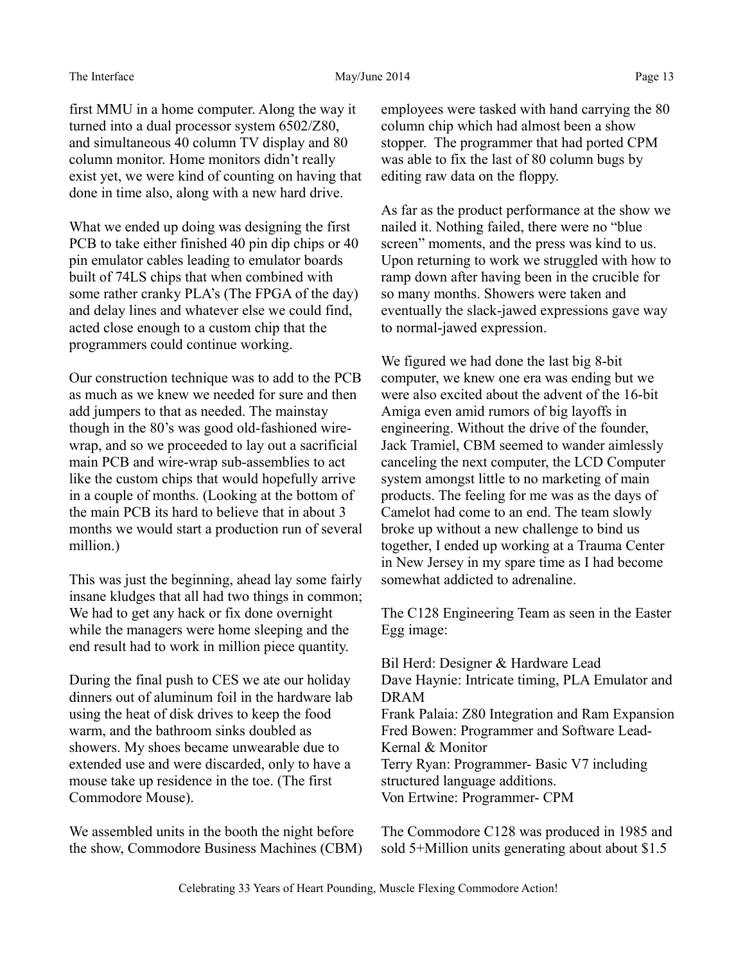first MMU in a home computer. Along the way it turned into a dual processor system 6502/Z80, and simultaneous 40 column TV display and 80 column monitor. Home monitors didn't really exist yet, we were kind of counting on having that done in time also, along with a new hard drive.

What we ended up doing was designing the first PCB to take either finished 40 pin dip chips or 40 pin emulator cables leading to emulator boards built of 74LS chips that when combined with some rather cranky PLA's (The FPGA of the day) and delay lines and whatever else we could find, acted close enough to a custom chip that the programmers could continue working.

Our construction technique was to add to the PCB as much as we knew we needed for sure and then add jumpers to that as needed. The mainstay though in the 80's was good old-fashioned wirewrap, and so we proceeded to lay out a sacrificial main PCB and wire-wrap sub-assemblies to act like the custom chips that would hopefully arrive in a couple of months. (Looking at the bottom of the main PCB its hard to believe that in about 3 months we would start a production run of several million.)

This was just the beginning, ahead lay some fairly insane kludges that all had two things in common; We had to get any hack or fix done overnight while the managers were home sleeping and the end result had to work in million piece quantity.

During the final push to CES we ate our holiday dinners out of aluminum foil in the hardware lab using the heat of disk drives to keep the food warm, and the bathroom sinks doubled as showers. My shoes became unwearable due to extended use and were discarded, only to have a mouse take up residence in the toe. (The first Commodore Mouse).

We assembled units in the booth the night before the show, Commodore Business Machines (CBM) employees were tasked with hand carrying the 80 column chip which had almost been a show stopper. The programmer that had ported CPM was able to fix the last of 80 column bugs by editing raw data on the floppy.

As far as the product performance at the show we nailed it. Nothing failed, there were no "blue screen" moments, and the press was kind to us. Upon returning to work we struggled with how to ramp down after having been in the crucible for so many months. Showers were taken and eventually the slack-jawed expressions gave way to normal-jawed expression.

We figured we had done the last big 8-bit computer, we knew one era was ending but we were also excited about the advent of the 16-bit Amiga even amid rumors of big layoffs in engineering. Without the drive of the founder, Jack Tramiel, CBM seemed to wander aimlessly canceling the next computer, the LCD Computer system amongst little to no marketing of main products. The feeling for me was as the days of Camelot had come to an end. The team slowly broke up without a new challenge to bind us together, I ended up working at a Trauma Center in New Jersey in my spare time as I had become somewhat addicted to adrenaline.

The C128 Engineering Team as seen in the Easter Egg image:

Bil Herd: Designer & Hardware Lead Dave Haynie: Intricate timing, PLA Emulator and DRAM Frank Palaia: Z80 Integration and Ram Expansion Fred Bowen: Programmer and Software Lead-Kernal & Monitor Terry Ryan: Programmer- Basic V7 including structured language additions. Von Ertwine: Programmer- CPM

The Commodore C128 was produced in 1985 and sold 5+Million units generating about about \$1.5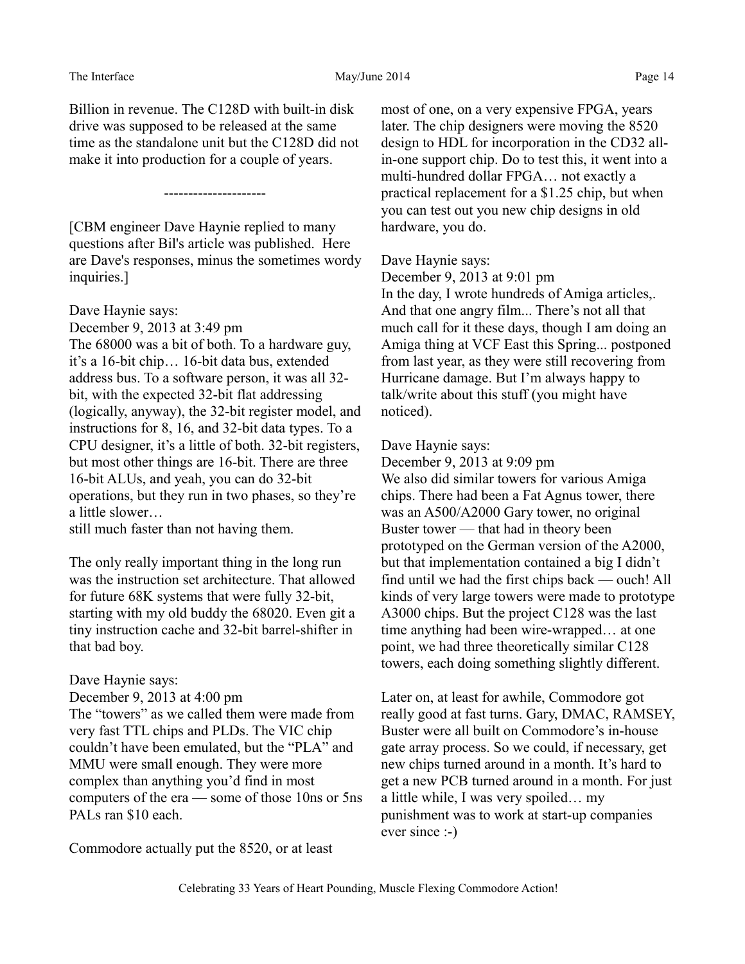The Interface and the May/June 2014 Page 14

Billion in revenue. The C128D with built-in disk drive was supposed to be released at the same time as the standalone unit but the C128D did not make it into production for a couple of years.

---------------------

[CBM engineer Dave Haynie replied to many questions after Bil's article was published. Here are Dave's responses, minus the sometimes wordy inquiries.]

Dave Haynie says:

December 9, 2013 at 3:49 pm

The 68000 was a bit of both. To a hardware guy, it's a 16-bit chip… 16-bit data bus, extended address bus. To a software person, it was all 32 bit, with the expected 32-bit flat addressing (logically, anyway), the 32-bit register model, and instructions for 8, 16, and 32-bit data types. To a CPU designer, it's a little of both. 32-bit registers, but most other things are 16-bit. There are three 16-bit ALUs, and yeah, you can do 32-bit operations, but they run in two phases, so they're a little slower…

still much faster than not having them.

The only really important thing in the long run was the instruction set architecture. That allowed for future 68K systems that were fully 32-bit, starting with my old buddy the 68020. Even git a tiny instruction cache and 32-bit barrel-shifter in that bad boy.

## Dave Haynie says:

December 9, 2013 at 4:00 pm The "towers" as we called them were made from very fast TTL chips and PLDs. The VIC chip couldn't have been emulated, but the "PLA" and MMU were small enough. They were more complex than anything you'd find in most computers of the era — some of those 10ns or 5ns PALs ran \$10 each.

Commodore actually put the 8520, or at least

most of one, on a very expensive FPGA, years later. The chip designers were moving the 8520 design to HDL for incorporation in the CD32 allin-one support chip. Do to test this, it went into a multi-hundred dollar FPGA… not exactly a practical replacement for a \$1.25 chip, but when you can test out you new chip designs in old hardware, you do.

## Dave Haynie says:

December 9, 2013 at 9:01 pm In the day, I wrote hundreds of Amiga articles,. And that one angry film... There's not all that much call for it these days, though I am doing an Amiga thing at VCF East this Spring... postponed from last year, as they were still recovering from Hurricane damage. But I'm always happy to talk/write about this stuff (you might have noticed).

## Dave Haynie says:

December 9, 2013 at 9:09 pm We also did similar towers for various Amiga chips. There had been a Fat Agnus tower, there was an A500/A2000 Gary tower, no original Buster tower — that had in theory been prototyped on the German version of the A2000, but that implementation contained a big I didn't find until we had the first chips back — ouch! All kinds of very large towers were made to prototype A3000 chips. But the project C128 was the last time anything had been wire-wrapped… at one point, we had three theoretically similar C128 towers, each doing something slightly different.

Later on, at least for awhile, Commodore got really good at fast turns. Gary, DMAC, RAMSEY, Buster were all built on Commodore's in-house gate array process. So we could, if necessary, get new chips turned around in a month. It's hard to get a new PCB turned around in a month. For just a little while, I was very spoiled… my punishment was to work at start-up companies ever since :-)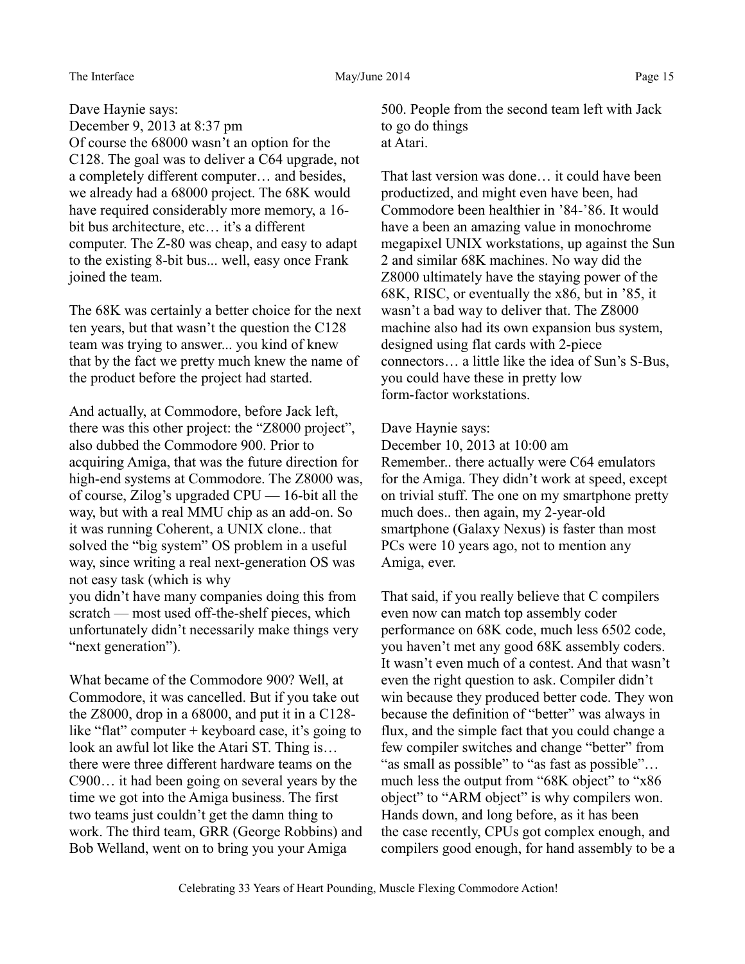#### The Interface The Interface May/June 2014 Page 15

Dave Haynie says: December 9, 2013 at 8:37 pm Of course the 68000 wasn't an option for the C128. The goal was to deliver a C64 upgrade, not a completely different computer… and besides, we already had a 68000 project. The 68K would have required considerably more memory, a 16 bit bus architecture, etc… it's a different computer. The Z-80 was cheap, and easy to adapt to the existing 8-bit bus... well, easy once Frank joined the team.

The 68K was certainly a better choice for the next ten years, but that wasn't the question the C128 team was trying to answer... you kind of knew that by the fact we pretty much knew the name of the product before the project had started.

And actually, at Commodore, before Jack left, there was this other project: the "Z8000 project", also dubbed the Commodore 900. Prior to acquiring Amiga, that was the future direction for high-end systems at Commodore. The Z8000 was, of course, Zilog's upgraded CPU — 16-bit all the way, but with a real MMU chip as an add-on. So it was running Coherent, a UNIX clone.. that solved the "big system" OS problem in a useful way, since writing a real next-generation OS was not easy task (which is why you didn't have many companies doing this from scratch — most used off-the-shelf pieces, which unfortunately didn't necessarily make things very "next generation").

What became of the Commodore 900? Well, at Commodore, it was cancelled. But if you take out the Z8000, drop in a 68000, and put it in a C128 like "flat" computer + keyboard case, it's going to look an awful lot like the Atari ST. Thing is… there were three different hardware teams on the C900… it had been going on several years by the time we got into the Amiga business. The first two teams just couldn't get the damn thing to work. The third team, GRR (George Robbins) and Bob Welland, went on to bring you your Amiga

500. People from the second team left with Jack to go do things at Atari.

That last version was done… it could have been productized, and might even have been, had Commodore been healthier in '84-'86. It would have a been an amazing value in monochrome megapixel UNIX workstations, up against the Sun 2 and similar 68K machines. No way did the Z8000 ultimately have the staying power of the 68K, RISC, or eventually the x86, but in '85, it wasn't a bad way to deliver that. The Z8000 machine also had its own expansion bus system, designed using flat cards with 2-piece connectors… a little like the idea of Sun's S-Bus, you could have these in pretty low form-factor workstations.

## Dave Haynie says:

December 10, 2013 at 10:00 am Remember.. there actually were C64 emulators for the Amiga. They didn't work at speed, except on trivial stuff. The one on my smartphone pretty much does.. then again, my 2-year-old smartphone (Galaxy Nexus) is faster than most PCs were 10 years ago, not to mention any Amiga, ever.

That said, if you really believe that C compilers even now can match top assembly coder performance on 68K code, much less 6502 code, you haven't met any good 68K assembly coders. It wasn't even much of a contest. And that wasn't even the right question to ask. Compiler didn't win because they produced better code. They won because the definition of "better" was always in flux, and the simple fact that you could change a few compiler switches and change "better" from "as small as possible" to "as fast as possible"... much less the output from "68K object" to "x86 object" to "ARM object" is why compilers won. Hands down, and long before, as it has been the case recently, CPUs got complex enough, and compilers good enough, for hand assembly to be a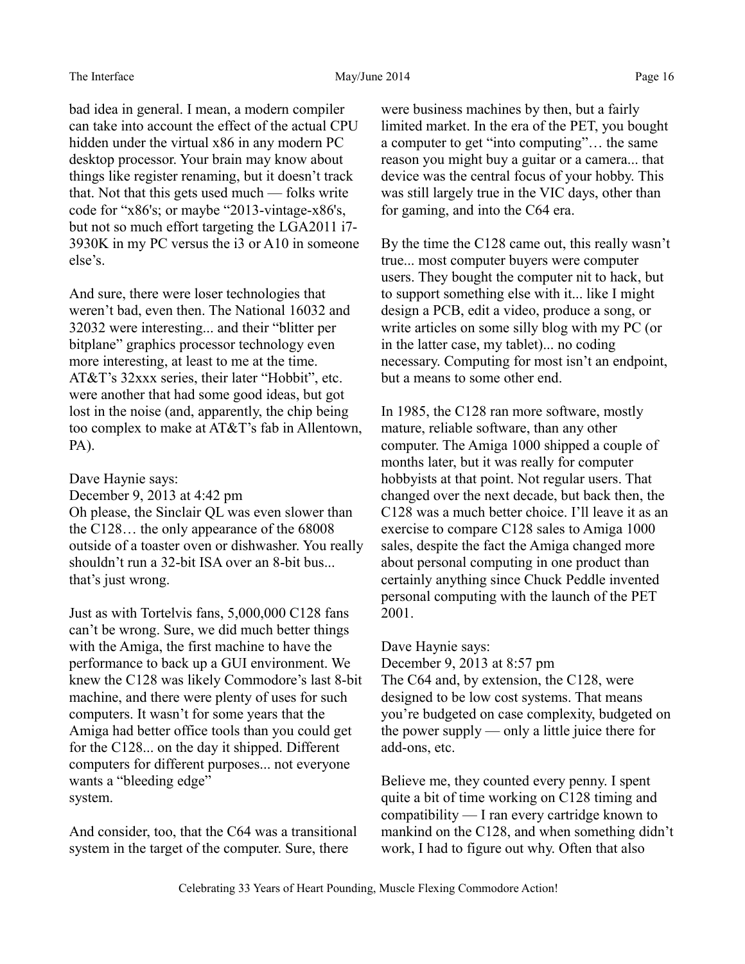bad idea in general. I mean, a modern compiler can take into account the effect of the actual CPU hidden under the virtual x86 in any modern PC desktop processor. Your brain may know about things like register renaming, but it doesn't track that. Not that this gets used much — folks write code for "x86's; or maybe "2013-vintage-x86's, but not so much effort targeting the LGA2011 i7- 3930K in my PC versus the i3 or A10 in someone else's.

And sure, there were loser technologies that weren't bad, even then. The National 16032 and 32032 were interesting... and their "blitter per bitplane" graphics processor technology even more interesting, at least to me at the time. AT&T's 32xxx series, their later "Hobbit", etc. were another that had some good ideas, but got lost in the noise (and, apparently, the chip being too complex to make at AT&T's fab in Allentown, PA).

Dave Haynie says:

December 9, 2013 at 4:42 pm Oh please, the Sinclair QL was even slower than the C128… the only appearance of the 68008 outside of a toaster oven or dishwasher. You really shouldn't run a 32-bit ISA over an 8-bit bus... that's just wrong.

Just as with Tortelvis fans, 5,000,000 C128 fans can't be wrong. Sure, we did much better things with the Amiga, the first machine to have the performance to back up a GUI environment. We knew the C128 was likely Commodore's last 8-bit machine, and there were plenty of uses for such computers. It wasn't for some years that the Amiga had better office tools than you could get for the C128... on the day it shipped. Different computers for different purposes... not everyone wants a "bleeding edge" system.

And consider, too, that the C64 was a transitional system in the target of the computer. Sure, there

were business machines by then, but a fairly limited market. In the era of the PET, you bought a computer to get "into computing"… the same reason you might buy a guitar or a camera... that device was the central focus of your hobby. This was still largely true in the VIC days, other than for gaming, and into the C64 era.

By the time the C128 came out, this really wasn't true... most computer buyers were computer users. They bought the computer nit to hack, but to support something else with it... like I might design a PCB, edit a video, produce a song, or write articles on some silly blog with my PC (or in the latter case, my tablet)... no coding necessary. Computing for most isn't an endpoint, but a means to some other end.

In 1985, the C128 ran more software, mostly mature, reliable software, than any other computer. The Amiga 1000 shipped a couple of months later, but it was really for computer hobbyists at that point. Not regular users. That changed over the next decade, but back then, the C128 was a much better choice. I'll leave it as an exercise to compare C128 sales to Amiga 1000 sales, despite the fact the Amiga changed more about personal computing in one product than certainly anything since Chuck Peddle invented personal computing with the launch of the PET 2001.

Dave Haynie says:

December 9, 2013 at 8:57 pm The C64 and, by extension, the C128, were designed to be low cost systems. That means you're budgeted on case complexity, budgeted on the power supply — only a little juice there for add-ons, etc.

Believe me, they counted every penny. I spent quite a bit of time working on C128 timing and compatibility — I ran every cartridge known to mankind on the C128, and when something didn't work, I had to figure out why. Often that also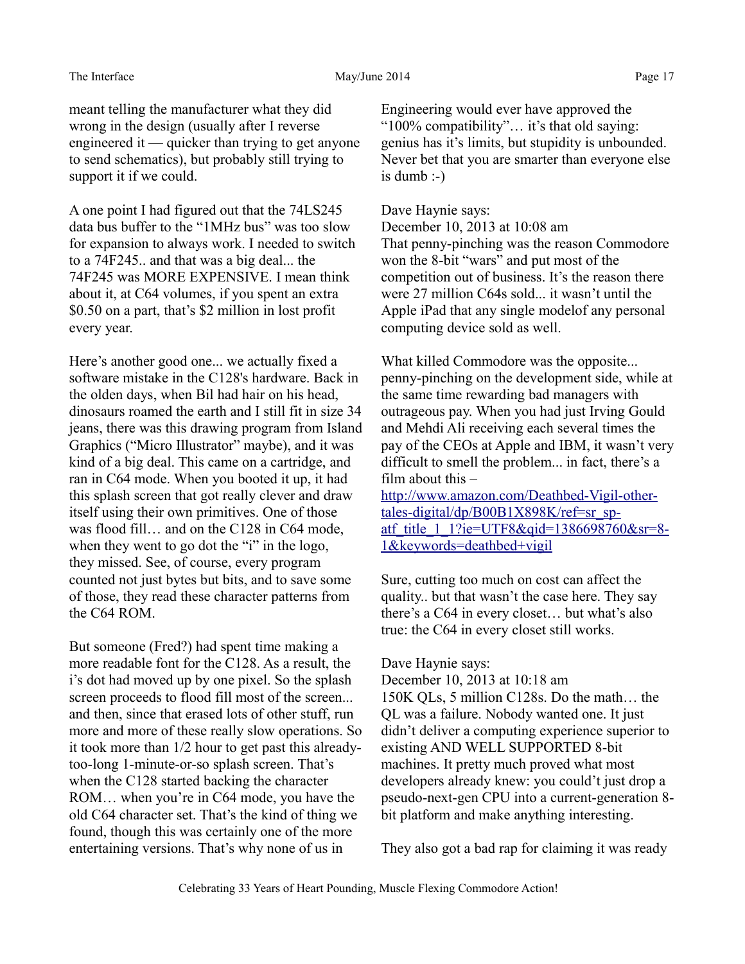#### The Interface The Interface May/June 2014 Page 17

meant telling the manufacturer what they did wrong in the design (usually after I reverse engineered it — quicker than trying to get anyone to send schematics), but probably still trying to support it if we could.

A one point I had figured out that the 74LS245 data bus buffer to the "1MHz bus" was too slow for expansion to always work. I needed to switch to a 74F245.. and that was a big deal... the 74F245 was MORE EXPENSIVE. I mean think about it, at C64 volumes, if you spent an extra \$0.50 on a part, that's \$2 million in lost profit every year.

Here's another good one... we actually fixed a software mistake in the C128's hardware. Back in the olden days, when Bil had hair on his head, dinosaurs roamed the earth and I still fit in size 34 jeans, there was this drawing program from Island Graphics ("Micro Illustrator" maybe), and it was kind of a big deal. This came on a cartridge, and ran in C64 mode. When you booted it up, it had this splash screen that got really clever and draw itself using their own primitives. One of those was flood fill… and on the C128 in C64 mode, when they went to go dot the "i" in the logo, they missed. See, of course, every program counted not just bytes but bits, and to save some of those, they read these character patterns from the C64 ROM

But someone (Fred?) had spent time making a more readable font for the C128. As a result, the i's dot had moved up by one pixel. So the splash screen proceeds to flood fill most of the screen... and then, since that erased lots of other stuff, run more and more of these really slow operations. So it took more than 1/2 hour to get past this alreadytoo-long 1-minute-or-so splash screen. That's when the C128 started backing the character ROM... when you're in C64 mode, you have the old C64 character set. That's the kind of thing we found, though this was certainly one of the more entertaining versions. That's why none of us in

Engineering would ever have approved the "100% compatibility"… it's that old saying: genius has it's limits, but stupidity is unbounded. Never bet that you are smarter than everyone else is dumb  $\Rightarrow$ 

## Dave Haynie says:

December 10, 2013 at 10:08 am That penny-pinching was the reason Commodore won the 8-bit "wars" and put most of the competition out of business. It's the reason there were 27 million C64s sold... it wasn't until the Apple iPad that any single modelof any personal computing device sold as well.

What killed Commodore was the opposite... penny-pinching on the development side, while at the same time rewarding bad managers with outrageous pay. When you had just Irving Gould and Mehdi Ali receiving each several times the pay of the CEOs at Apple and IBM, it wasn't very difficult to smell the problem... in fact, there's a film about this  $-$ 

[http://www.amazon.com/Deathbed-Vigil-other](http://www.amazon.com/Deathbed-Vigil-other-tales-digital/dp/B00B1X898K/ref=sr_sp-atf_title_1_1?ie=UTF8&qid=1386698760&sr=8-1&keywords=deathbed+vigil)tales-digital/dp/B00B1X898K/ref=sr\_sp[atf\\_title\\_1\\_1?ie=UTF8&qid=1386698760&sr=8-](http://www.amazon.com/Deathbed-Vigil-other-tales-digital/dp/B00B1X898K/ref=sr_sp-atf_title_1_1?ie=UTF8&qid=1386698760&sr=8-1&keywords=deathbed+vigil) [1&keywords=deathbed+vigil](http://www.amazon.com/Deathbed-Vigil-other-tales-digital/dp/B00B1X898K/ref=sr_sp-atf_title_1_1?ie=UTF8&qid=1386698760&sr=8-1&keywords=deathbed+vigil)

Sure, cutting too much on cost can affect the quality.. but that wasn't the case here. They say there's a C64 in every closet… but what's also true: the C64 in every closet still works.

#### Dave Haynie says:

December 10, 2013 at 10:18 am 150K QLs, 5 million C128s. Do the math… the QL was a failure. Nobody wanted one. It just didn't deliver a computing experience superior to existing AND WELL SUPPORTED 8-bit machines. It pretty much proved what most developers already knew: you could't just drop a pseudo-next-gen CPU into a current-generation 8 bit platform and make anything interesting.

They also got a bad rap for claiming it was ready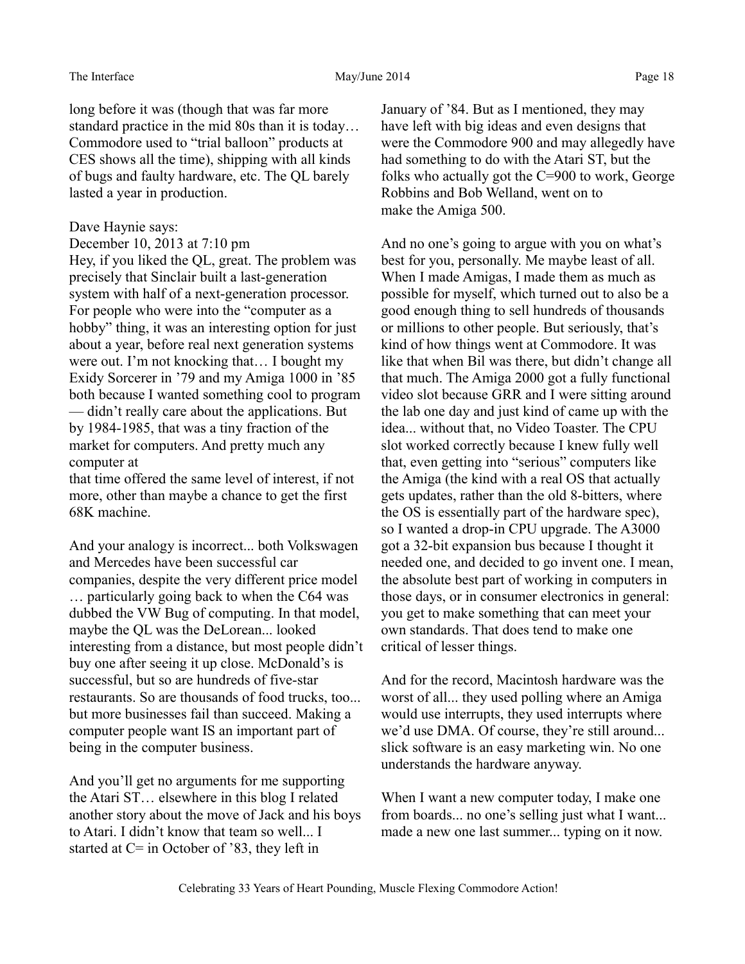long before it was (though that was far more standard practice in the mid 80s than it is today… Commodore used to "trial balloon" products at CES shows all the time), shipping with all kinds of bugs and faulty hardware, etc. The QL barely lasted a year in production.

#### Dave Haynie says:

December 10, 2013 at 7:10 pm

Hey, if you liked the QL, great. The problem was precisely that Sinclair built a last-generation system with half of a next-generation processor. For people who were into the "computer as a hobby" thing, it was an interesting option for just about a year, before real next generation systems were out. I'm not knocking that… I bought my Exidy Sorcerer in '79 and my Amiga 1000 in '85 both because I wanted something cool to program — didn't really care about the applications. But by 1984-1985, that was a tiny fraction of the market for computers. And pretty much any computer at

that time offered the same level of interest, if not more, other than maybe a chance to get the first 68K machine.

And your analogy is incorrect... both Volkswagen and Mercedes have been successful car companies, despite the very different price model … particularly going back to when the C64 was dubbed the VW Bug of computing. In that model, maybe the QL was the DeLorean... looked interesting from a distance, but most people didn't buy one after seeing it up close. McDonald's is successful, but so are hundreds of five-star restaurants. So are thousands of food trucks, too... but more businesses fail than succeed. Making a computer people want IS an important part of being in the computer business.

And you'll get no arguments for me supporting the Atari ST… elsewhere in this blog I related another story about the move of Jack and his boys to Atari. I didn't know that team so well... I started at  $C=$  in October of '83, they left in

January of '84. But as I mentioned, they may have left with big ideas and even designs that were the Commodore 900 and may allegedly have had something to do with the Atari ST, but the folks who actually got the C=900 to work, George Robbins and Bob Welland, went on to make the Amiga 500.

And no one's going to argue with you on what's best for you, personally. Me maybe least of all. When I made Amigas, I made them as much as possible for myself, which turned out to also be a good enough thing to sell hundreds of thousands or millions to other people. But seriously, that's kind of how things went at Commodore. It was like that when Bil was there, but didn't change all that much. The Amiga 2000 got a fully functional video slot because GRR and I were sitting around the lab one day and just kind of came up with the idea... without that, no Video Toaster. The CPU slot worked correctly because I knew fully well that, even getting into "serious" computers like the Amiga (the kind with a real OS that actually gets updates, rather than the old 8-bitters, where the OS is essentially part of the hardware spec), so I wanted a drop-in CPU upgrade. The A3000 got a 32-bit expansion bus because I thought it needed one, and decided to go invent one. I mean, the absolute best part of working in computers in those days, or in consumer electronics in general: you get to make something that can meet your own standards. That does tend to make one critical of lesser things.

And for the record, Macintosh hardware was the worst of all... they used polling where an Amiga would use interrupts, they used interrupts where we'd use DMA. Of course, they're still around... slick software is an easy marketing win. No one understands the hardware anyway.

When I want a new computer today, I make one from boards... no one's selling just what I want... made a new one last summer... typing on it now.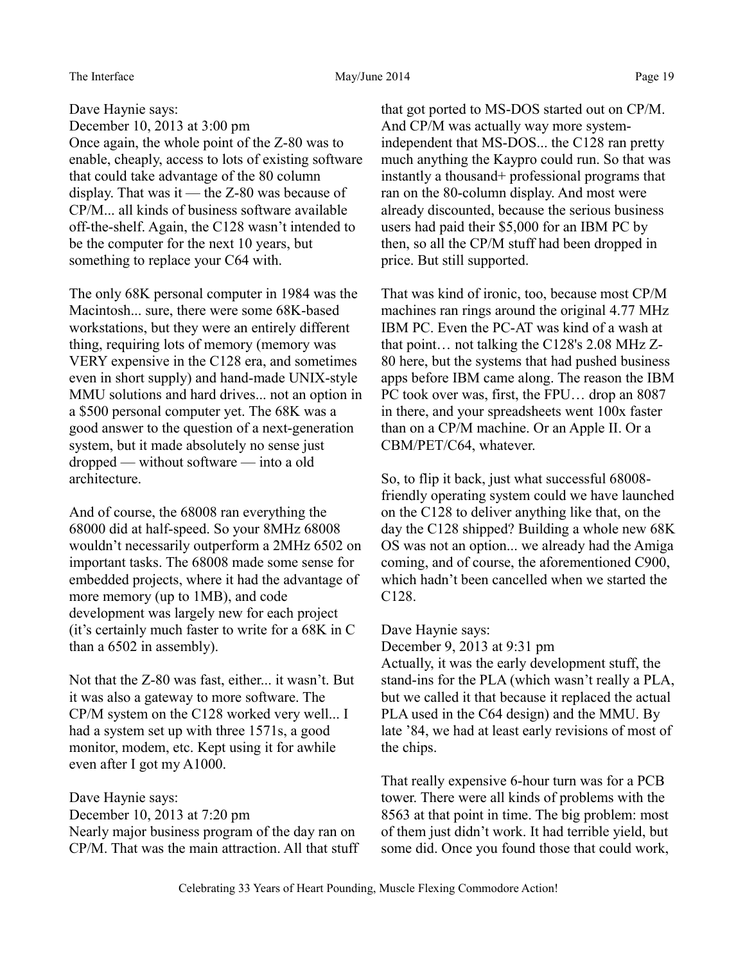#### The Interface and the May/June 2014 Page 19

Dave Haynie says: December 10, 2013 at 3:00 pm Once again, the whole point of the Z-80 was to enable, cheaply, access to lots of existing software that could take advantage of the 80 column display. That was it — the Z-80 was because of CP/M... all kinds of business software available off-the-shelf. Again, the C128 wasn't intended to be the computer for the next 10 years, but something to replace your C64 with.

The only 68K personal computer in 1984 was the Macintosh... sure, there were some 68K-based workstations, but they were an entirely different thing, requiring lots of memory (memory was VERY expensive in the C128 era, and sometimes even in short supply) and hand-made UNIX-style MMU solutions and hard drives... not an option in a \$500 personal computer yet. The 68K was a good answer to the question of a next-generation system, but it made absolutely no sense just dropped — without software — into a old architecture.

And of course, the 68008 ran everything the 68000 did at half-speed. So your 8MHz 68008 wouldn't necessarily outperform a 2MHz 6502 on important tasks. The 68008 made some sense for embedded projects, where it had the advantage of more memory (up to 1MB), and code development was largely new for each project (it's certainly much faster to write for a 68K in C than a 6502 in assembly).

Not that the Z-80 was fast, either... it wasn't. But it was also a gateway to more software. The CP/M system on the C128 worked very well... I had a system set up with three 1571s, a good monitor, modem, etc. Kept using it for awhile even after I got my A1000.

Dave Haynie says:

December 10, 2013 at 7:20 pm Nearly major business program of the day ran on CP/M. That was the main attraction. All that stuff that got ported to MS-DOS started out on CP/M. And CP/M was actually way more systemindependent that MS-DOS... the C128 ran pretty much anything the Kaypro could run. So that was instantly a thousand+ professional programs that ran on the 80-column display. And most were already discounted, because the serious business users had paid their \$5,000 for an IBM PC by then, so all the CP/M stuff had been dropped in price. But still supported.

That was kind of ironic, too, because most CP/M machines ran rings around the original 4.77 MHz IBM PC. Even the PC-AT was kind of a wash at that point… not talking the C128's 2.08 MHz Z-80 here, but the systems that had pushed business apps before IBM came along. The reason the IBM PC took over was, first, the FPU… drop an 8087 in there, and your spreadsheets went 100x faster than on a CP/M machine. Or an Apple II. Or a CBM/PET/C64, whatever.

So, to flip it back, just what successful 68008 friendly operating system could we have launched on the C128 to deliver anything like that, on the day the C128 shipped? Building a whole new 68K OS was not an option... we already had the Amiga coming, and of course, the aforementioned C900, which hadn't been cancelled when we started the C128.

Dave Haynie says:

December 9, 2013 at 9:31 pm

Actually, it was the early development stuff, the stand-ins for the PLA (which wasn't really a PLA, but we called it that because it replaced the actual PLA used in the C64 design) and the MMU. By late '84, we had at least early revisions of most of the chips.

That really expensive 6-hour turn was for a PCB tower. There were all kinds of problems with the 8563 at that point in time. The big problem: most of them just didn't work. It had terrible yield, but some did. Once you found those that could work,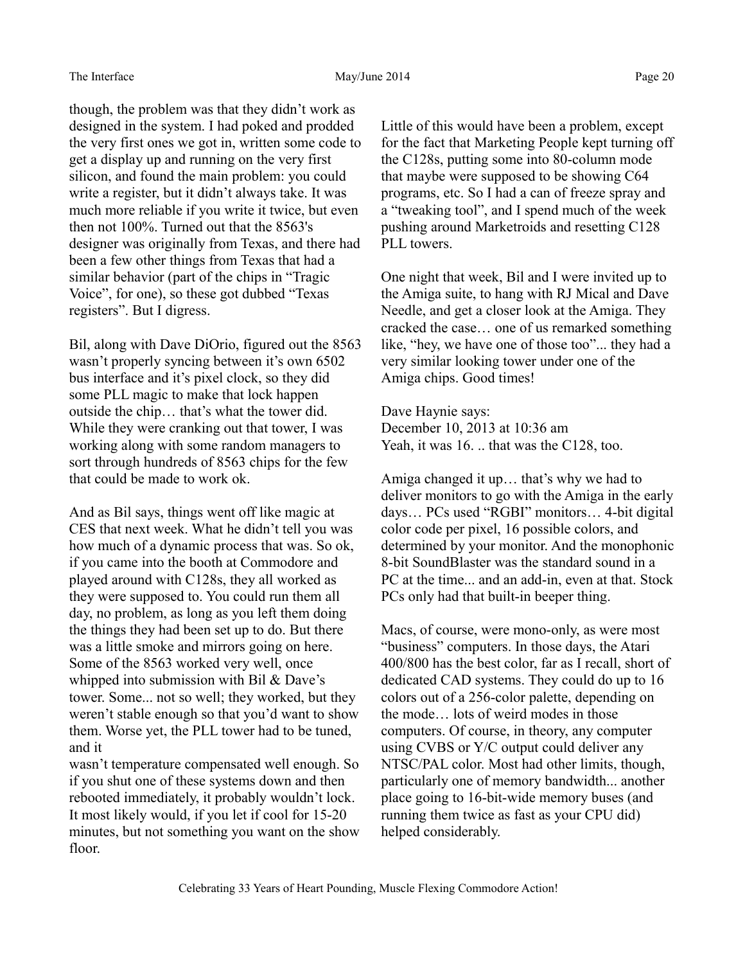though, the problem was that they didn't work as designed in the system. I had poked and prodded the very first ones we got in, written some code to get a display up and running on the very first silicon, and found the main problem: you could write a register, but it didn't always take. It was much more reliable if you write it twice, but even then not 100%. Turned out that the 8563's designer was originally from Texas, and there had been a few other things from Texas that had a similar behavior (part of the chips in "Tragic Voice", for one), so these got dubbed "Texas registers". But I digress.

Bil, along with Dave DiOrio, figured out the 8563 wasn't properly syncing between it's own 6502 bus interface and it's pixel clock, so they did some PLL magic to make that lock happen outside the chip… that's what the tower did. While they were cranking out that tower, I was working along with some random managers to sort through hundreds of 8563 chips for the few that could be made to work ok.

And as Bil says, things went off like magic at CES that next week. What he didn't tell you was how much of a dynamic process that was. So ok, if you came into the booth at Commodore and played around with C128s, they all worked as they were supposed to. You could run them all day, no problem, as long as you left them doing the things they had been set up to do. But there was a little smoke and mirrors going on here. Some of the 8563 worked very well, once whipped into submission with Bil & Dave's tower. Some... not so well; they worked, but they weren't stable enough so that you'd want to show them. Worse yet, the PLL tower had to be tuned, and it

wasn't temperature compensated well enough. So if you shut one of these systems down and then rebooted immediately, it probably wouldn't lock. It most likely would, if you let if cool for 15-20 minutes, but not something you want on the show floor.

Little of this would have been a problem, except for the fact that Marketing People kept turning off the C128s, putting some into 80-column mode that maybe were supposed to be showing C64 programs, etc. So I had a can of freeze spray and a "tweaking tool", and I spend much of the week pushing around Marketroids and resetting C128 PLL towers.

One night that week, Bil and I were invited up to the Amiga suite, to hang with RJ Mical and Dave Needle, and get a closer look at the Amiga. They cracked the case… one of us remarked something like, "hey, we have one of those too"... they had a very similar looking tower under one of the Amiga chips. Good times!

Dave Haynie says: December 10, 2013 at 10:36 am Yeah, it was 16. .. that was the C128, too.

Amiga changed it up… that's why we had to deliver monitors to go with the Amiga in the early days… PCs used "RGBI" monitors… 4-bit digital color code per pixel, 16 possible colors, and determined by your monitor. And the monophonic 8-bit SoundBlaster was the standard sound in a PC at the time... and an add-in, even at that. Stock PCs only had that built-in beeper thing.

Macs, of course, were mono-only, as were most "business" computers. In those days, the Atari 400/800 has the best color, far as I recall, short of dedicated CAD systems. They could do up to 16 colors out of a 256-color palette, depending on the mode… lots of weird modes in those computers. Of course, in theory, any computer using CVBS or Y/C output could deliver any NTSC/PAL color. Most had other limits, though, particularly one of memory bandwidth... another place going to 16-bit-wide memory buses (and running them twice as fast as your CPU did) helped considerably.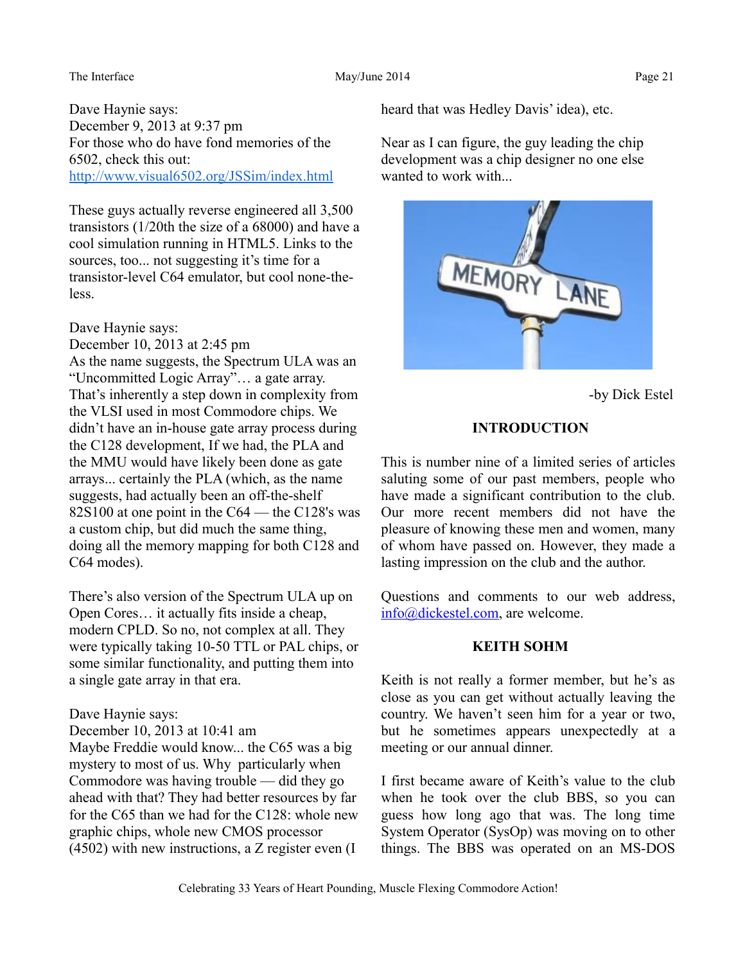#### The Interface and the May/June 2014 Page 21

Dave Haynie says: December 9, 2013 at 9:37 pm For those who do have fond memories of the 6502, check this out: <http://www.visual6502.org/JSSim/index.html>

These guys actually reverse engineered all 3,500 transistors (1/20th the size of a 68000) and have a cool simulation running in HTML5. Links to the sources, too... not suggesting it's time for a transistor-level C64 emulator, but cool none-theless.

## Dave Haynie says:

December 10, 2013 at 2:45 pm As the name suggests, the Spectrum ULA was an "Uncommitted Logic Array"… a gate array. That's inherently a step down in complexity from the VLSI used in most Commodore chips. We didn't have an in-house gate array process during the C128 development, If we had, the PLA and the MMU would have likely been done as gate arrays... certainly the PLA (which, as the name suggests, had actually been an off-the-shelf 82S100 at one point in the C64 — the C128's was a custom chip, but did much the same thing, doing all the memory mapping for both C128 and C64 modes).

There's also version of the Spectrum ULA up on Open Cores… it actually fits inside a cheap, modern CPLD. So no, not complex at all. They were typically taking 10-50 TTL or PAL chips, or some similar functionality, and putting them into a single gate array in that era.

# Dave Haynie says:

December 10, 2013 at 10:41 am

Maybe Freddie would know... the C65 was a big mystery to most of us. Why particularly when Commodore was having trouble — did they go ahead with that? They had better resources by far for the C65 than we had for the C128: whole new graphic chips, whole new CMOS processor (4502) with new instructions, a Z register even (I

heard that was Hedley Davis' idea), etc.

Near as I can figure, the guy leading the chip development was a chip designer no one else wanted to work with...



-by Dick Estel

# **INTRODUCTION**

This is number nine of a limited series of articles saluting some of our past members, people who have made a significant contribution to the club. Our more recent members did not have the pleasure of knowing these men and women, many of whom have passed on. However, they made a lasting impression on the club and the author.

Questions and comments to our web address, [info@dickestel.com,](mailto:info@dickestel.com) are welcome.

## **KEITH SOHM**

Keith is not really a former member, but he's as close as you can get without actually leaving the country. We haven't seen him for a year or two, but he sometimes appears unexpectedly at a meeting or our annual dinner.

I first became aware of Keith's value to the club when he took over the club BBS, so you can guess how long ago that was. The long time System Operator (SysOp) was moving on to other things. The BBS was operated on an MS-DOS